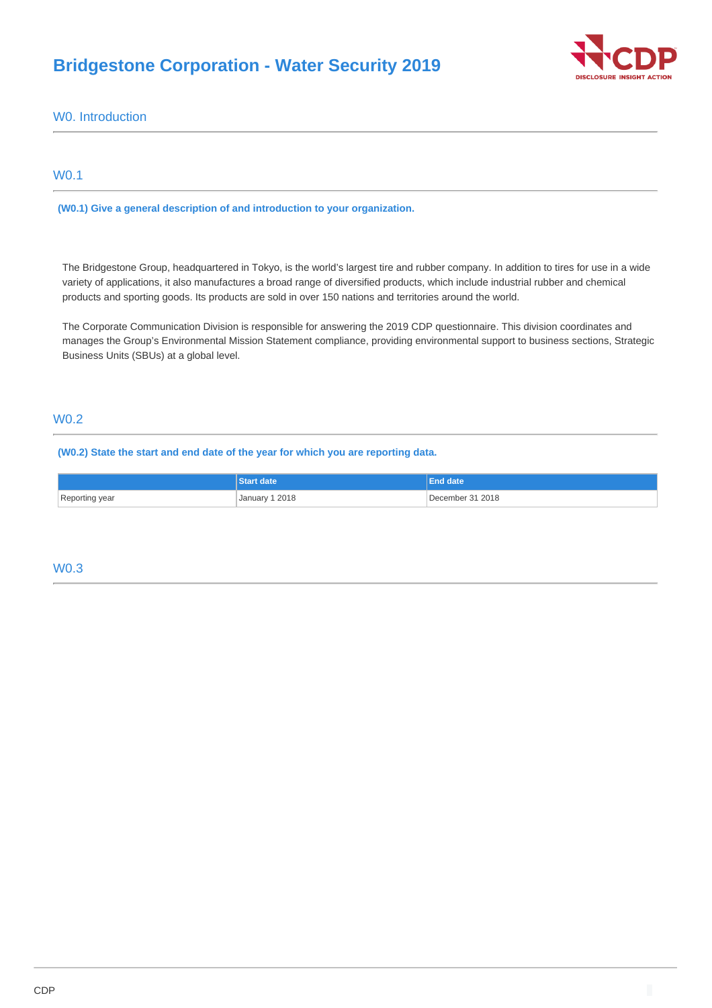# **Bridgestone Corporation - Water Security 2019**



W0. Introduction

# W0.1

**(W0.1) Give a general description of and introduction to your organization.**

The Bridgestone Group, headquartered in Tokyo, is the world's largest tire and rubber company. In addition to tires for use in a wide variety of applications, it also manufactures a broad range of diversified products, which include industrial rubber and chemical products and sporting goods. Its products are sold in over 150 nations and territories around the world.

The Corporate Communication Division is responsible for answering the 2019 CDP questionnaire. This division coordinates and manages the Group's Environmental Mission Statement compliance, providing environmental support to business sections, Strategic Business Units (SBUs) at a global level.

# W0.2

**(W0.2) State the start and end date of the year for which you are reporting data.**

|                | <b>Start date</b> | l End date'      |
|----------------|-------------------|------------------|
| Reporting year | January 1 2018    | December 31 2018 |

# W0.3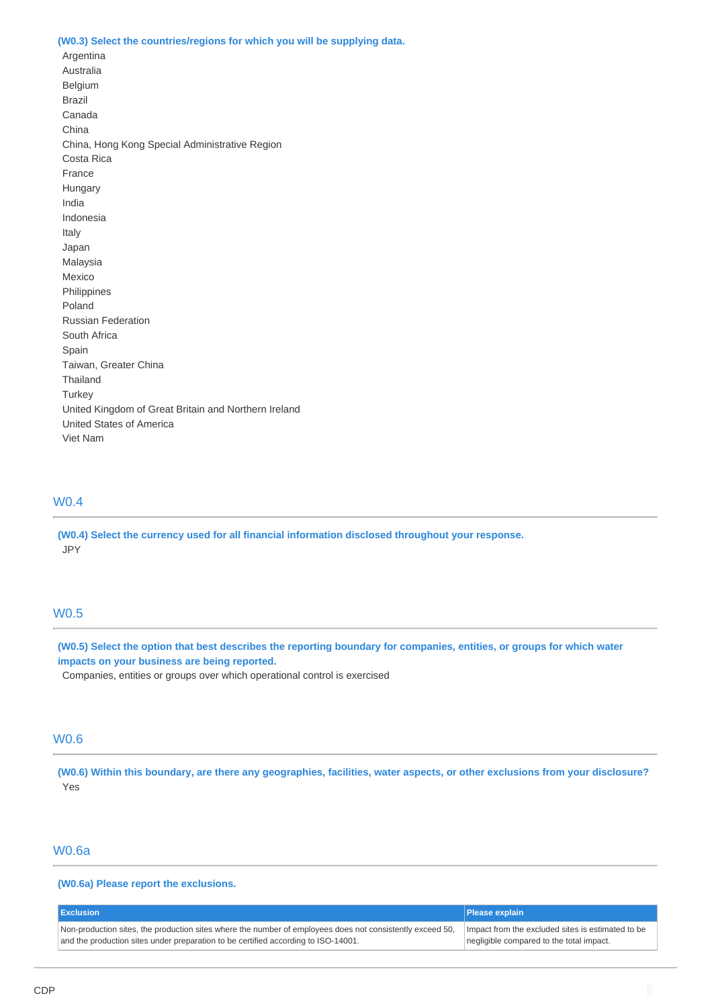#### **(W0.3) Select the countries/regions for which you will be supplying data.**

Argentina Australia Belgium Brazil Canada China China, Hong Kong Special Administrative Region Costa Rica France Hungary India Indonesia Italy Japan Malaysia Mexico Philippines Poland Russian Federation South Africa Spain Taiwan, Greater China Thailand **Turkey** United Kingdom of Great Britain and Northern Ireland United States of America Viet Nam

# W0.4

**(W0.4) Select the currency used for all financial information disclosed throughout your response.** JPY

# W0.5

**(W0.5) Select the option that best describes the reporting boundary for companies, entities, or groups for which water impacts on your business are being reported.**

Companies, entities or groups over which operational control is exercised

### W0.6

**(W0.6) Within this boundary, are there any geographies, facilities, water aspects, or other exclusions from your disclosure?** Yes

### W0.6a

**(W0.6a) Please report the exclusions.**

| <b>I</b> Exclusion                                                                                        | <b>Please explain</b>                             |
|-----------------------------------------------------------------------------------------------------------|---------------------------------------------------|
| Non-production sites, the production sites where the number of employees does not consistently exceed 50, | Impact from the excluded sites is estimated to be |
| and the production sites under preparation to be certified according to ISO-14001.                        | negligible compared to the total impact.          |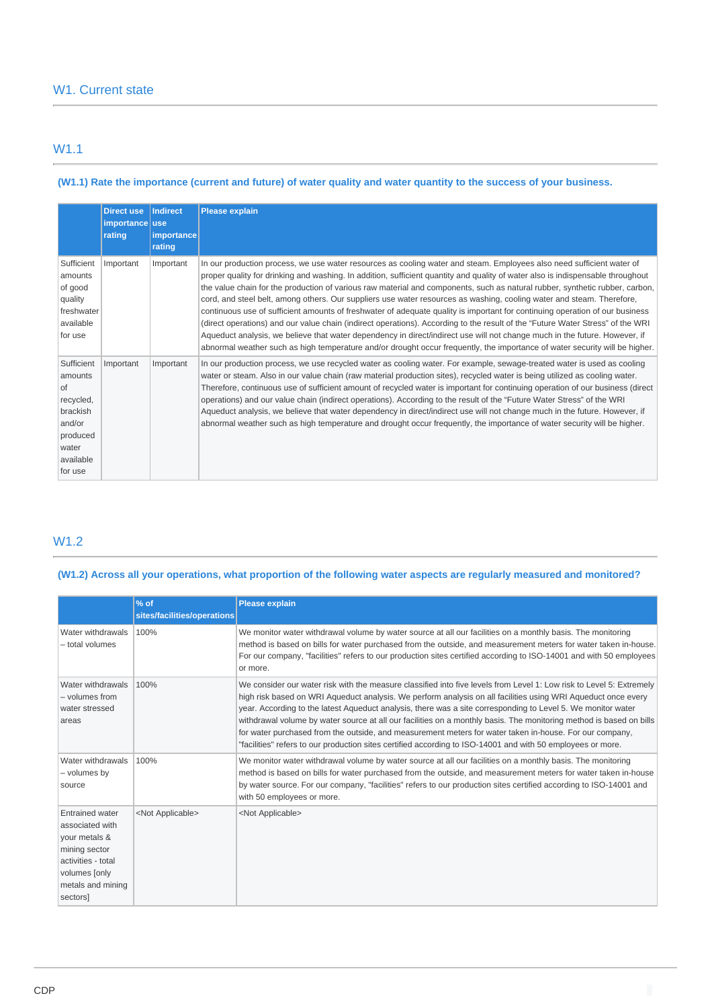# W1.1

## **(W1.1) Rate the importance (current and future) of water quality and water quantity to the success of your business.**

|                                                                                                               | <b>Direct use</b><br>importance use<br>rating | Indirect<br>importance<br>rating | <b>Please explain</b>                                                                                                                                                                                                                                                                                                                                                                                                                                                                                                                                                                                                                                                                                                                                                                                                                                                                                                                                                                                                                            |
|---------------------------------------------------------------------------------------------------------------|-----------------------------------------------|----------------------------------|--------------------------------------------------------------------------------------------------------------------------------------------------------------------------------------------------------------------------------------------------------------------------------------------------------------------------------------------------------------------------------------------------------------------------------------------------------------------------------------------------------------------------------------------------------------------------------------------------------------------------------------------------------------------------------------------------------------------------------------------------------------------------------------------------------------------------------------------------------------------------------------------------------------------------------------------------------------------------------------------------------------------------------------------------|
| Sufficient<br>amounts<br>of good<br>quality<br>freshwater<br>available<br>for use                             | Important                                     | Important                        | In our production process, we use water resources as cooling water and steam. Employees also need sufficient water of<br>proper quality for drinking and washing. In addition, sufficient quantity and quality of water also is indispensable throughout<br>the value chain for the production of various raw material and components, such as natural rubber, synthetic rubber, carbon,<br>cord, and steel belt, among others. Our suppliers use water resources as washing, cooling water and steam. Therefore,<br>continuous use of sufficient amounts of freshwater of adequate quality is important for continuing operation of our business<br>(direct operations) and our value chain (indirect operations). According to the result of the "Future Water Stress" of the WRI<br>Aqueduct analysis, we believe that water dependency in direct/indirect use will not change much in the future. However, if<br>abnormal weather such as high temperature and/or drought occur frequently, the importance of water security will be higher. |
| Sufficient<br>amounts<br>l of<br>recycled,<br>brackish<br>and/or<br>produced<br>water<br>available<br>for use | Important                                     | Important                        | In our production process, we use recycled water as cooling water. For example, sewage-treated water is used as cooling<br>water or steam. Also in our value chain (raw material production sites), recycled water is being utilized as cooling water.<br>Therefore, continuous use of sufficient amount of recycled water is important for continuing operation of our business (direct<br>operations) and our value chain (indirect operations). According to the result of the "Future Water Stress" of the WRI<br>Aqueduct analysis, we believe that water dependency in direct/indirect use will not change much in the future. However, if<br>abnormal weather such as high temperature and drought occur frequently, the importance of water security will be higher.                                                                                                                                                                                                                                                                     |

# W1.2

**(W1.2) Across all your operations, what proportion of the following water aspects are regularly measured and monitored?**

|                                                                                                                                                     | % of<br>sites/facilities/operations | <b>Please explain</b>                                                                                                                                                                                                                                                                                                                                                                                                                                                                                                                                                                                                                                                                                  |
|-----------------------------------------------------------------------------------------------------------------------------------------------------|-------------------------------------|--------------------------------------------------------------------------------------------------------------------------------------------------------------------------------------------------------------------------------------------------------------------------------------------------------------------------------------------------------------------------------------------------------------------------------------------------------------------------------------------------------------------------------------------------------------------------------------------------------------------------------------------------------------------------------------------------------|
| Water withdrawals<br>- total volumes                                                                                                                | 100%                                | We monitor water withdrawal volume by water source at all our facilities on a monthly basis. The monitoring<br>method is based on bills for water purchased from the outside, and measurement meters for water taken in-house.<br>For our company, "facilities" refers to our production sites certified according to ISO-14001 and with 50 employees<br>or more.                                                                                                                                                                                                                                                                                                                                      |
| Water withdrawals<br>- volumes from<br>water stressed<br>areas                                                                                      | 100%                                | We consider our water risk with the measure classified into five levels from Level 1: Low risk to Level 5: Extremely<br>high risk based on WRI Aqueduct analysis. We perform analysis on all facilities using WRI Aqueduct once every<br>year. According to the latest Aqueduct analysis, there was a site corresponding to Level 5. We monitor water<br>withdrawal volume by water source at all our facilities on a monthly basis. The monitoring method is based on bills<br>for water purchased from the outside, and measurement meters for water taken in-house. For our company,<br>"facilities" refers to our production sites certified according to ISO-14001 and with 50 employees or more. |
| Water withdrawals<br>- volumes by<br>source                                                                                                         | 100%                                | We monitor water withdrawal volume by water source at all our facilities on a monthly basis. The monitoring<br>method is based on bills for water purchased from the outside, and measurement meters for water taken in-house<br>by water source. For our company, "facilities" refers to our production sites certified according to ISO-14001 and<br>with 50 employees or more.                                                                                                                                                                                                                                                                                                                      |
| <b>Entrained water</b><br>associated with<br>your metals &<br>mining sector<br>activities - total<br>volumes [only<br>metals and mining<br>sectors] | <not applicable=""></not>           | <not applicable=""></not>                                                                                                                                                                                                                                                                                                                                                                                                                                                                                                                                                                                                                                                                              |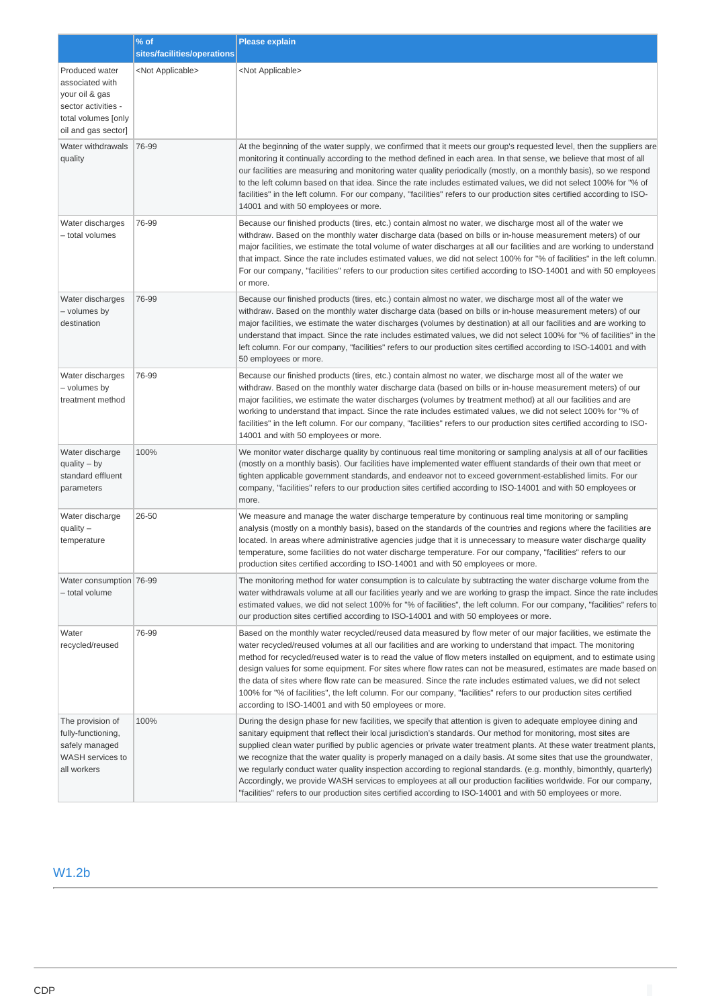|                                                                                                                          | $%$ of                      | <b>Please explain</b>                                                                                                                                                                                                                                                                                                                                                                                                                                                                                                                                                                                                                                                                                                                                                                                                                   |
|--------------------------------------------------------------------------------------------------------------------------|-----------------------------|-----------------------------------------------------------------------------------------------------------------------------------------------------------------------------------------------------------------------------------------------------------------------------------------------------------------------------------------------------------------------------------------------------------------------------------------------------------------------------------------------------------------------------------------------------------------------------------------------------------------------------------------------------------------------------------------------------------------------------------------------------------------------------------------------------------------------------------------|
|                                                                                                                          | sites/facilities/operations |                                                                                                                                                                                                                                                                                                                                                                                                                                                                                                                                                                                                                                                                                                                                                                                                                                         |
| Produced water<br>associated with<br>your oil & gas<br>sector activities -<br>total volumes [only<br>oil and gas sector] | <not applicable=""></not>   | <not applicable=""></not>                                                                                                                                                                                                                                                                                                                                                                                                                                                                                                                                                                                                                                                                                                                                                                                                               |
| Water withdrawals<br>quality                                                                                             | 76-99                       | At the beginning of the water supply, we confirmed that it meets our group's requested level, then the suppliers are<br>monitoring it continually according to the method defined in each area. In that sense, we believe that most of all<br>our facilities are measuring and monitoring water quality periodically (mostly, on a monthly basis), so we respond<br>to the left column based on that idea. Since the rate includes estimated values, we did not select 100% for "% of<br>facilities" in the left column. For our company, "facilities" refers to our production sites certified according to ISO-<br>14001 and with 50 employees or more.                                                                                                                                                                               |
| Water discharges<br>- total volumes                                                                                      | 76-99                       | Because our finished products (tires, etc.) contain almost no water, we discharge most all of the water we<br>withdraw. Based on the monthly water discharge data (based on bills or in-house measurement meters) of our<br>major facilities, we estimate the total volume of water discharges at all our facilities and are working to understand<br>that impact. Since the rate includes estimated values, we did not select 100% for "% of facilities" in the left column.<br>For our company, "facilities" refers to our production sites certified according to ISO-14001 and with 50 employees<br>or more.                                                                                                                                                                                                                        |
| Water discharges<br>- volumes by<br>destination                                                                          | 76-99                       | Because our finished products (tires, etc.) contain almost no water, we discharge most all of the water we<br>withdraw. Based on the monthly water discharge data (based on bills or in-house measurement meters) of our<br>major facilities, we estimate the water discharges (volumes by destination) at all our facilities and are working to<br>understand that impact. Since the rate includes estimated values, we did not select 100% for "% of facilities" in the<br>left column. For our company, "facilities" refers to our production sites certified according to ISO-14001 and with<br>50 employees or more.                                                                                                                                                                                                               |
| Water discharges<br>- volumes by<br>treatment method                                                                     | 76-99                       | Because our finished products (tires, etc.) contain almost no water, we discharge most all of the water we<br>withdraw. Based on the monthly water discharge data (based on bills or in-house measurement meters) of our<br>major facilities, we estimate the water discharges (volumes by treatment method) at all our facilities and are<br>working to understand that impact. Since the rate includes estimated values, we did not select 100% for "% of<br>facilities" in the left column. For our company, "facilities" refers to our production sites certified according to ISO-<br>14001 and with 50 employees or more.                                                                                                                                                                                                         |
| Water discharge<br>quality $-$ by<br>standard effluent<br>parameters                                                     | 100%                        | We monitor water discharge quality by continuous real time monitoring or sampling analysis at all of our facilities<br>(mostly on a monthly basis). Our facilities have implemented water effluent standards of their own that meet or<br>tighten applicable government standards, and endeavor not to exceed government-established limits. For our<br>company, "facilities" refers to our production sites certified according to ISO-14001 and with 50 employees or<br>more.                                                                                                                                                                                                                                                                                                                                                         |
| Water discharge<br>quality $-$<br>temperature                                                                            | 26-50                       | We measure and manage the water discharge temperature by continuous real time monitoring or sampling<br>analysis (mostly on a monthly basis), based on the standards of the countries and regions where the facilities are<br>located. In areas where administrative agencies judge that it is unnecessary to measure water discharge quality<br>temperature, some facilities do not water discharge temperature. For our company, "facilities" refers to our<br>production sites certified according to ISO-14001 and with 50 employees or more.                                                                                                                                                                                                                                                                                       |
| Water consumption 76-99<br>– total volume                                                                                |                             | The monitoring method for water consumption is to calculate by subtracting the water discharge volume from the<br>water withdrawals volume at all our facilities yearly and we are working to grasp the impact. Since the rate includes<br>estimated values, we did not select 100% for "% of facilities", the left column. For our company, "facilities" refers to<br>our production sites certified according to ISO-14001 and with 50 employees or more.                                                                                                                                                                                                                                                                                                                                                                             |
| Water<br>recycled/reused                                                                                                 | 76-99                       | Based on the monthly water recycled/reused data measured by flow meter of our major facilities, we estimate the<br>water recycled/reused volumes at all our facilities and are working to understand that impact. The monitoring<br>method for recycled/reused water is to read the value of flow meters installed on equipment, and to estimate using<br>design values for some equipment. For sites where flow rates can not be measured, estimates are made based on<br>the data of sites where flow rate can be measured. Since the rate includes estimated values, we did not select<br>100% for "% of facilities", the left column. For our company, "facilities" refers to our production sites certified<br>according to ISO-14001 and with 50 employees or more.                                                               |
| The provision of<br>fully-functioning,<br>safely managed<br>WASH services to<br>all workers                              | 100%                        | During the design phase for new facilities, we specify that attention is given to adequate employee dining and<br>sanitary equipment that reflect their local jurisdiction's standards. Our method for monitoring, most sites are<br>supplied clean water purified by public agencies or private water treatment plants. At these water treatment plants,<br>we recognize that the water quality is properly managed on a daily basis. At some sites that use the groundwater,<br>we regularly conduct water quality inspection according to regional standards. (e.g. monthly, bimonthly, quarterly)<br>Accordingly, we provide WASH services to employees at all our production facilities worldwide. For our company,<br>"facilities" refers to our production sites certified according to ISO-14001 and with 50 employees or more. |

# W1.2b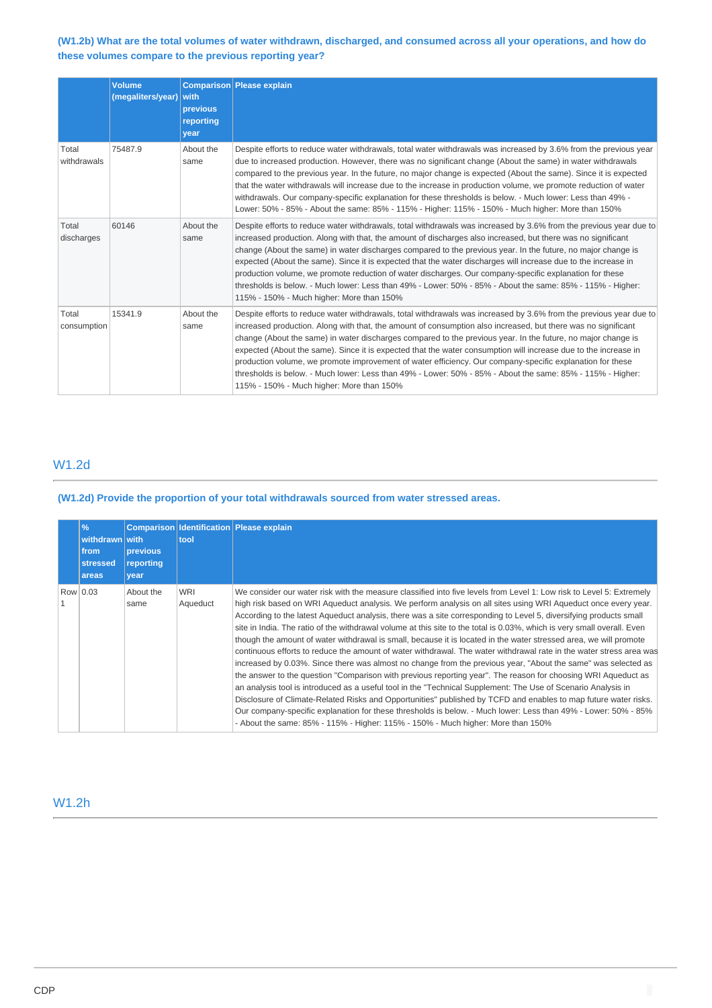### **(W1.2b) What are the total volumes of water withdrawn, discharged, and consumed across all your operations, and how do these volumes compare to the previous reporting year?**

|                      | <b>Volume</b><br>(megaliters/year) | with<br>previous<br>reporting<br>year | Comparison Please explain                                                                                                                                                                                                                                                                                                                                                                                                                                                                                                                                                                                                                                                                                                                      |
|----------------------|------------------------------------|---------------------------------------|------------------------------------------------------------------------------------------------------------------------------------------------------------------------------------------------------------------------------------------------------------------------------------------------------------------------------------------------------------------------------------------------------------------------------------------------------------------------------------------------------------------------------------------------------------------------------------------------------------------------------------------------------------------------------------------------------------------------------------------------|
| Total<br>withdrawals | 75487.9                            | About the<br>same                     | Despite efforts to reduce water withdrawals, total water withdrawals was increased by 3.6% from the previous year<br>due to increased production. However, there was no significant change (About the same) in water withdrawals<br>compared to the previous year. In the future, no major change is expected (About the same). Since it is expected<br>that the water withdrawals will increase due to the increase in production volume, we promote reduction of water<br>withdrawals. Our company-specific explanation for these thresholds is below. - Much lower: Less than 49% -<br>Lower: 50% - 85% - About the same: 85% - 115% - Higher: 115% - 150% - Much higher: More than 150%                                                    |
| Total<br>discharges  | 60146                              | About the<br>same                     | Despite efforts to reduce water withdrawals, total withdrawals was increased by 3.6% from the previous year due to<br>increased production. Along with that, the amount of discharges also increased, but there was no significant<br>change (About the same) in water discharges compared to the previous year. In the future, no major change is<br>expected (About the same). Since it is expected that the water discharges will increase due to the increase in<br>production volume, we promote reduction of water discharges. Our company-specific explanation for these<br>thresholds is below. - Much lower: Less than 49% - Lower: 50% - 85% - About the same: 85% - 115% - Higher:<br>115% - 150% - Much higher: More than 150%     |
| Total<br>consumption | 15341.9                            | About the<br>same                     | Despite efforts to reduce water withdrawals, total withdrawals was increased by 3.6% from the previous year due to<br>increased production. Along with that, the amount of consumption also increased, but there was no significant<br>change (About the same) in water discharges compared to the previous year. In the future, no major change is<br>expected (About the same). Since it is expected that the water consumption will increase due to the increase in<br>production volume, we promote improvement of water efficiency. Our company-specific explanation for these<br>thresholds is below. - Much lower: Less than 49% - Lower: 50% - 85% - About the same: 85% - 115% - Higher:<br>115% - 150% - Much higher: More than 150% |

# W1.2d

### **(W1.2d) Provide the proportion of your total withdrawals sourced from water stressed areas.**

|          | $\%$<br>withdrawn with<br>from<br>stressed<br>areas | <b>previous</b><br>reporting<br>year | tool                   | <b>Comparison Identification Please explain</b>                                                                                                                                                                                                                                                                                                                                                                                                                                                                                                                                                                                                                                                                                                                                                                                                                                                                                                                                                                                                                                                                                                                                                                                                                                                                                                                                                                |
|----------|-----------------------------------------------------|--------------------------------------|------------------------|----------------------------------------------------------------------------------------------------------------------------------------------------------------------------------------------------------------------------------------------------------------------------------------------------------------------------------------------------------------------------------------------------------------------------------------------------------------------------------------------------------------------------------------------------------------------------------------------------------------------------------------------------------------------------------------------------------------------------------------------------------------------------------------------------------------------------------------------------------------------------------------------------------------------------------------------------------------------------------------------------------------------------------------------------------------------------------------------------------------------------------------------------------------------------------------------------------------------------------------------------------------------------------------------------------------------------------------------------------------------------------------------------------------|
| Row 0.03 |                                                     | About the<br>same                    | <b>WRI</b><br>Aqueduct | We consider our water risk with the measure classified into five levels from Level 1: Low risk to Level 5: Extremely<br>high risk based on WRI Aqueduct analysis. We perform analysis on all sites using WRI Aqueduct once every year.<br>According to the latest Aqueduct analysis, there was a site corresponding to Level 5, diversifying products small<br>site in India. The ratio of the withdrawal volume at this site to the total is 0.03%, which is very small overall. Even<br>though the amount of water withdrawal is small, because it is located in the water stressed area, we will promote<br>continuous efforts to reduce the amount of water withdrawal. The water withdrawal rate in the water stress area was<br>increased by 0.03%. Since there was almost no change from the previous year, "About the same" was selected as<br>the answer to the question "Comparison with previous reporting year". The reason for choosing WRI Aqueduct as<br>an analysis tool is introduced as a useful tool in the "Technical Supplement: The Use of Scenario Analysis in<br>Disclosure of Climate-Related Risks and Opportunities" published by TCFD and enables to map future water risks.<br>Our company-specific explanation for these thresholds is below. - Much lower: Less than 49% - Lower: 50% - 85%<br>- About the same: 85% - 115% - Higher: 115% - 150% - Much higher: More than 150% |

## W1.2h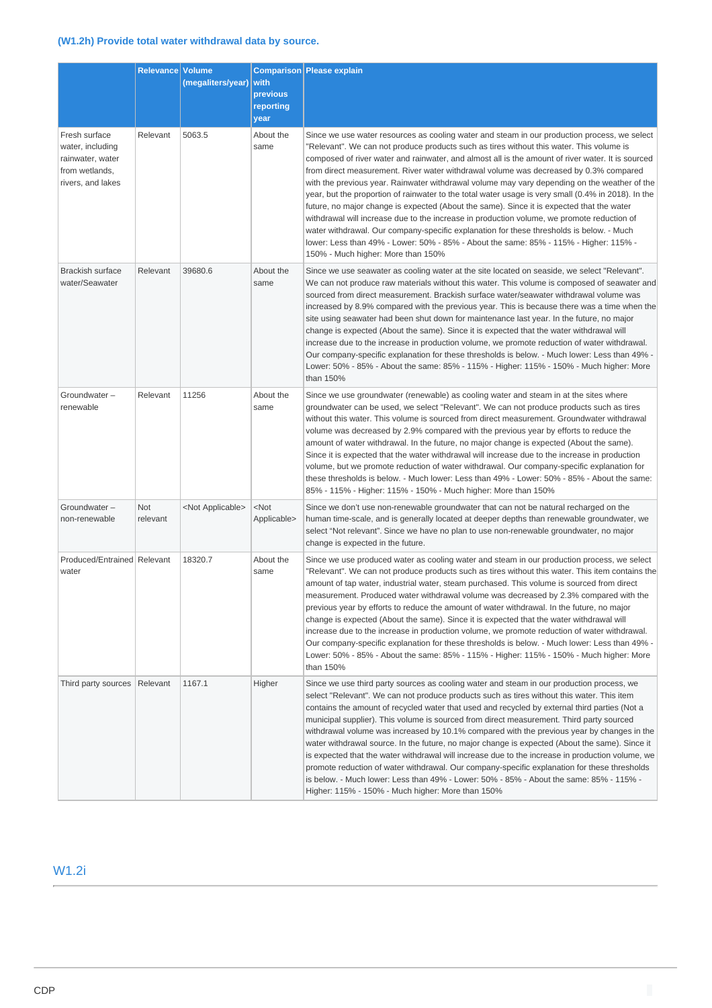## **(W1.2h) Provide total water withdrawal data by source.**

|                                                                                              | Relevance       | <b>Volume</b><br>(megaliters/year) | with<br>previous<br>reporting<br>year | <b>Comparison Please explain</b>                                                                                                                                                                                                                                                                                                                                                                                                                                                                                                                                                                                                                                                                                                                                                                                                                                                                                                                                                                                    |
|----------------------------------------------------------------------------------------------|-----------------|------------------------------------|---------------------------------------|---------------------------------------------------------------------------------------------------------------------------------------------------------------------------------------------------------------------------------------------------------------------------------------------------------------------------------------------------------------------------------------------------------------------------------------------------------------------------------------------------------------------------------------------------------------------------------------------------------------------------------------------------------------------------------------------------------------------------------------------------------------------------------------------------------------------------------------------------------------------------------------------------------------------------------------------------------------------------------------------------------------------|
| Fresh surface<br>water, including<br>rainwater, water<br>from wetlands,<br>rivers, and lakes | Relevant        | 5063.5                             | About the<br>same                     | Since we use water resources as cooling water and steam in our production process, we select<br>"Relevant". We can not produce products such as tires without this water. This volume is<br>composed of river water and rainwater, and almost all is the amount of river water. It is sourced<br>from direct measurement. River water withdrawal volume was decreased by 0.3% compared<br>with the previous year. Rainwater withdrawal volume may vary depending on the weather of the<br>year, but the proportion of rainwater to the total water usage is very small (0.4% in 2018). In the<br>future, no major change is expected (About the same). Since it is expected that the water<br>withdrawal will increase due to the increase in production volume, we promote reduction of<br>water withdrawal. Our company-specific explanation for these thresholds is below. - Much<br>lower: Less than 49% - Lower: 50% - 85% - About the same: 85% - 115% - Higher: 115% -<br>150% - Much higher: More than 150% |
| <b>Brackish surface</b><br>water/Seawater                                                    | Relevant        | 39680.6                            | About the<br>same                     | Since we use seawater as cooling water at the site located on seaside, we select "Relevant".<br>We can not produce raw materials without this water. This volume is composed of seawater and<br>sourced from direct measurement. Brackish surface water/seawater withdrawal volume was<br>increased by 8.9% compared with the previous year. This is because there was a time when the<br>site using seawater had been shut down for maintenance last year. In the future, no major<br>change is expected (About the same). Since it is expected that the water withdrawal will<br>increase due to the increase in production volume, we promote reduction of water withdrawal.<br>Our company-specific explanation for these thresholds is below. - Much lower: Less than 49% -<br>Lower: 50% - 85% - About the same: 85% - 115% - Higher: 115% - 150% - Much higher: More<br>than 150%                                                                                                                            |
| Groundwater-<br>renewable                                                                    | Relevant        | 11256                              | About the<br>same                     | Since we use groundwater (renewable) as cooling water and steam in at the sites where<br>groundwater can be used, we select "Relevant". We can not produce products such as tires<br>without this water. This volume is sourced from direct measurement. Groundwater withdrawal<br>volume was decreased by 2.9% compared with the previous year by efforts to reduce the<br>amount of water withdrawal. In the future, no major change is expected (About the same).<br>Since it is expected that the water withdrawal will increase due to the increase in production<br>volume, but we promote reduction of water withdrawal. Our company-specific explanation for<br>these thresholds is below. - Much lower: Less than 49% - Lower: 50% - 85% - About the same:<br>85% - 115% - Higher: 115% - 150% - Much higher: More than 150%                                                                                                                                                                               |
| Groundwater-<br>non-renewable                                                                | Not<br>relevant | <not applicable=""></not>          | $<$ Not<br>Applicable>                | Since we don't use non-renewable groundwater that can not be natural recharged on the<br>human time-scale, and is generally located at deeper depths than renewable groundwater, we<br>select "Not relevant". Since we have no plan to use non-renewable groundwater, no major<br>change is expected in the future.                                                                                                                                                                                                                                                                                                                                                                                                                                                                                                                                                                                                                                                                                                 |
| Produced/Entrained Relevant<br>water                                                         |                 | 18320.7                            | About the<br>same                     | Since we use produced water as cooling water and steam in our production process, we select<br>"Relevant". We can not produce products such as tires without this water. This item contains the<br>amount of tap water, industrial water, steam purchased. This volume is sourced from direct<br>measurement. Produced water withdrawal volume was decreased by 2.3% compared with the<br>previous year by efforts to reduce the amount of water withdrawal. In the future, no major<br>change is expected (About the same). Since it is expected that the water withdrawal will<br>increase due to the increase in production volume, we promote reduction of water withdrawal.<br>Our company-specific explanation for these thresholds is below. - Much lower: Less than 49% -<br>Lower: 50% - 85% - About the same: 85% - 115% - Higher: 115% - 150% - Much higher: More<br>than 150%                                                                                                                           |
| Third party sources   Relevant                                                               |                 | 1167.1                             | Higher                                | Since we use third party sources as cooling water and steam in our production process, we<br>select "Relevant". We can not produce products such as tires without this water. This item<br>contains the amount of recycled water that used and recycled by external third parties (Not a<br>municipal supplier). This volume is sourced from direct measurement. Third party sourced<br>withdrawal volume was increased by 10.1% compared with the previous year by changes in the<br>water withdrawal source. In the future, no major change is expected (About the same). Since it<br>is expected that the water withdrawal will increase due to the increase in production volume, we<br>promote reduction of water withdrawal. Our company-specific explanation for these thresholds<br>is below. - Much lower: Less than 49% - Lower: 50% - 85% - About the same: 85% - 115% -<br>Higher: 115% - 150% - Much higher: More than 150%                                                                            |

# W1.2i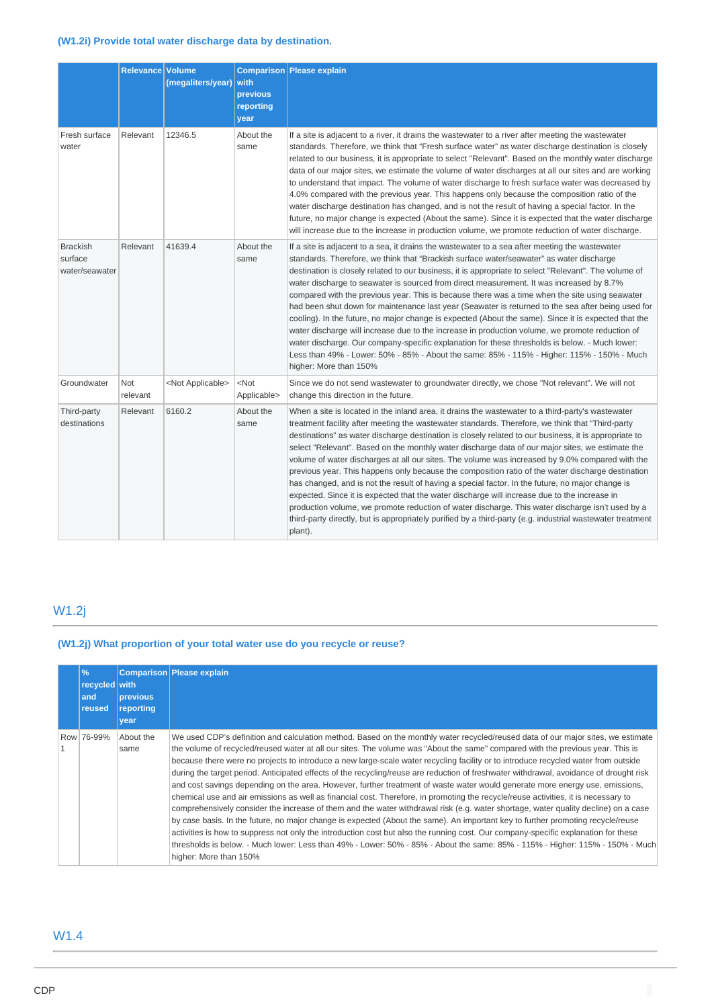## **(W1.2i) Provide total water discharge data by destination.**

|                                              | Relevance Volume | (megaliters/year)         | with<br>previous<br>reporting<br>year | Comparison Please explain                                                                                                                                                                                                                                                                                                                                                                                                                                                                                                                                                                                                                                                                                                                                                                                                                                                                                                                                                                                                                                   |
|----------------------------------------------|------------------|---------------------------|---------------------------------------|-------------------------------------------------------------------------------------------------------------------------------------------------------------------------------------------------------------------------------------------------------------------------------------------------------------------------------------------------------------------------------------------------------------------------------------------------------------------------------------------------------------------------------------------------------------------------------------------------------------------------------------------------------------------------------------------------------------------------------------------------------------------------------------------------------------------------------------------------------------------------------------------------------------------------------------------------------------------------------------------------------------------------------------------------------------|
| Fresh surface<br>water                       | Relevant         | 12346.5                   | About the<br>same                     | If a site is adjacent to a river, it drains the wastewater to a river after meeting the wastewater<br>standards. Therefore, we think that "Fresh surface water" as water discharge destination is closely<br>related to our business, it is appropriate to select "Relevant". Based on the monthly water discharge<br>data of our major sites, we estimate the volume of water discharges at all our sites and are working<br>to understand that impact. The volume of water discharge to fresh surface water was decreased by<br>4.0% compared with the previous year. This happens only because the composition ratio of the<br>water discharge destination has changed, and is not the result of having a special factor. In the<br>future, no major change is expected (About the same). Since it is expected that the water discharge<br>will increase due to the increase in production volume, we promote reduction of water discharge.                                                                                                              |
| <b>Brackish</b><br>surface<br>water/seawater | Relevant         | 41639.4                   | About the<br>same                     | If a site is adjacent to a sea, it drains the wastewater to a sea after meeting the wastewater<br>standards. Therefore, we think that "Brackish surface water/seawater" as water discharge<br>destination is closely related to our business, it is appropriate to select "Relevant". The volume of<br>water discharge to seawater is sourced from direct measurement. It was increased by 8.7%<br>compared with the previous year. This is because there was a time when the site using seawater<br>had been shut down for maintenance last year (Seawater is returned to the sea after being used for<br>cooling). In the future, no major change is expected (About the same). Since it is expected that the<br>water discharge will increase due to the increase in production volume, we promote reduction of<br>water discharge. Our company-specific explanation for these thresholds is below. - Much lower:<br>Less than 49% - Lower: 50% - 85% - About the same: 85% - 115% - Higher: 115% - 150% - Much<br>higher: More than 150%                |
| Groundwater                                  | Not<br>relevant  | <not applicable=""></not> | $<$ Not<br>Applicable>                | Since we do not send wastewater to groundwater directly, we chose "Not relevant". We will not<br>change this direction in the future.                                                                                                                                                                                                                                                                                                                                                                                                                                                                                                                                                                                                                                                                                                                                                                                                                                                                                                                       |
| Third-party<br>destinations                  | Relevant         | 6160.2                    | About the<br>same                     | When a site is located in the inland area, it drains the wastewater to a third-party's wastewater<br>treatment facility after meeting the wastewater standards. Therefore, we think that "Third-party<br>destinations" as water discharge destination is closely related to our business, it is appropriate to<br>select "Relevant". Based on the monthly water discharge data of our major sites, we estimate the<br>volume of water discharges at all our sites. The volume was increased by 9.0% compared with the<br>previous year. This happens only because the composition ratio of the water discharge destination<br>has changed, and is not the result of having a special factor. In the future, no major change is<br>expected. Since it is expected that the water discharge will increase due to the increase in<br>production volume, we promote reduction of water discharge. This water discharge isn't used by a<br>third-party directly, but is appropriately purified by a third-party (e.g. industrial wastewater treatment<br>plant). |

# W1.2j

# **(W1.2j) What proportion of your total water use do you recycle or reuse?**

| $\frac{9}{6}$<br>recycled with<br>and<br>reused | <b>previous</b><br>reporting<br>year | Comparison Please explain                                                                                                                                                                                                                                                                                                                                                                                                                                                                                                                                                                                                                                                                                                                                                                                                                                                                                                                                                                                                                                                                                                                                                                                                                                                                                                                                                                          |
|-------------------------------------------------|--------------------------------------|----------------------------------------------------------------------------------------------------------------------------------------------------------------------------------------------------------------------------------------------------------------------------------------------------------------------------------------------------------------------------------------------------------------------------------------------------------------------------------------------------------------------------------------------------------------------------------------------------------------------------------------------------------------------------------------------------------------------------------------------------------------------------------------------------------------------------------------------------------------------------------------------------------------------------------------------------------------------------------------------------------------------------------------------------------------------------------------------------------------------------------------------------------------------------------------------------------------------------------------------------------------------------------------------------------------------------------------------------------------------------------------------------|
| Row 76-99%                                      | About the<br>same                    | We used CDP's definition and calculation method. Based on the monthly water recycled/reused data of our major sites, we estimate<br>the volume of recycled/reused water at all our sites. The volume was "About the same" compared with the previous year. This is<br>because there were no projects to introduce a new large-scale water recycling facility or to introduce recycled water from outside<br>during the target period. Anticipated effects of the recycling/reuse are reduction of freshwater withdrawal, avoidance of drought risk<br>and cost savings depending on the area. However, further treatment of waste water would generate more energy use, emissions,<br>chemical use and air emissions as well as financial cost. Therefore, in promoting the recycle/reuse activities, it is necessary to<br>comprehensively consider the increase of them and the water withdrawal risk (e.g. water shortage, water quality decline) on a case<br>by case basis. In the future, no major change is expected (About the same). An important key to further promoting recycle/reuse<br>activities is how to suppress not only the introduction cost but also the running cost. Our company-specific explanation for these<br>thresholds is below. - Much lower: Less than 49% - Lower: 50% - 85% - About the same: 85% - 115% - Higher: 115% - 150% - Much<br>higher: More than 150% |

# W1.4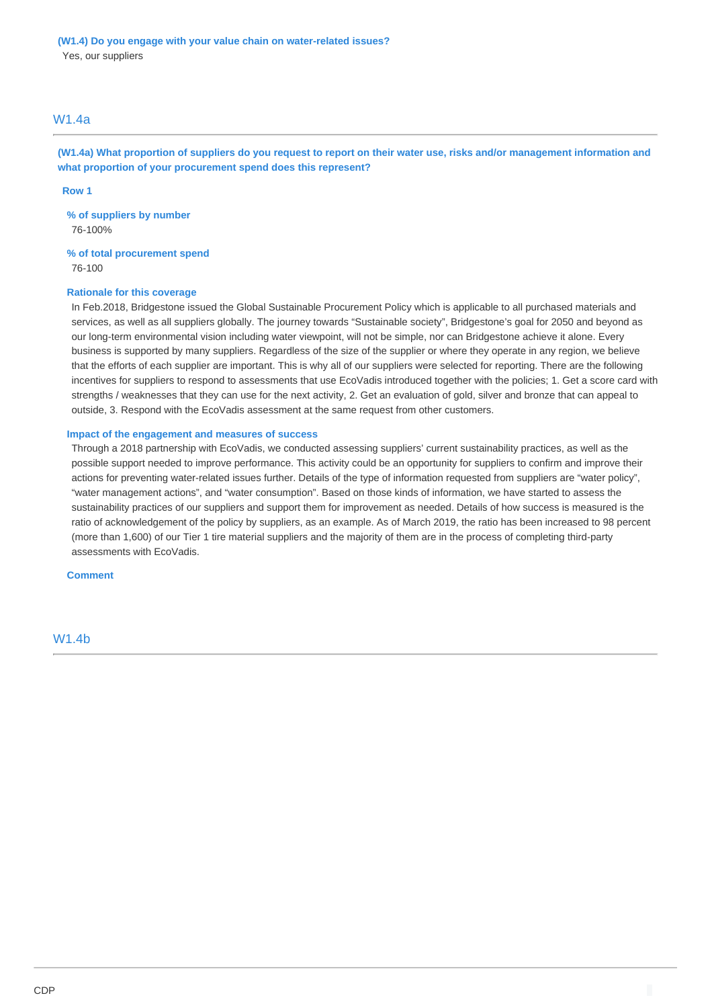### W1.4a

**(W1.4a) What proportion of suppliers do you request to report on their water use, risks and/or management information and what proportion of your procurement spend does this represent?**

#### **Row 1**

**% of suppliers by number** 76-100%

**% of total procurement spend** 76-100

#### **Rationale for this coverage**

In Feb.2018, Bridgestone issued the Global Sustainable Procurement Policy which is applicable to all purchased materials and services, as well as all suppliers globally. The journey towards "Sustainable society", Bridgestone's goal for 2050 and beyond as our long-term environmental vision including water viewpoint, will not be simple, nor can Bridgestone achieve it alone. Every business is supported by many suppliers. Regardless of the size of the supplier or where they operate in any region, we believe that the efforts of each supplier are important. This is why all of our suppliers were selected for reporting. There are the following incentives for suppliers to respond to assessments that use EcoVadis introduced together with the policies; 1. Get a score card with strengths / weaknesses that they can use for the next activity, 2. Get an evaluation of gold, silver and bronze that can appeal to outside, 3. Respond with the EcoVadis assessment at the same request from other customers.

#### **Impact of the engagement and measures of success**

Through a 2018 partnership with EcoVadis, we conducted assessing suppliers' current sustainability practices, as well as the possible support needed to improve performance. This activity could be an opportunity for suppliers to confirm and improve their actions for preventing water-related issues further. Details of the type of information requested from suppliers are "water policy", "water management actions", and "water consumption". Based on those kinds of information, we have started to assess the sustainability practices of our suppliers and support them for improvement as needed. Details of how success is measured is the ratio of acknowledgement of the policy by suppliers, as an example. As of March 2019, the ratio has been increased to 98 percent (more than 1,600) of our Tier 1 tire material suppliers and the majority of them are in the process of completing third-party assessments with EcoVadis.

**Comment**

W1.4b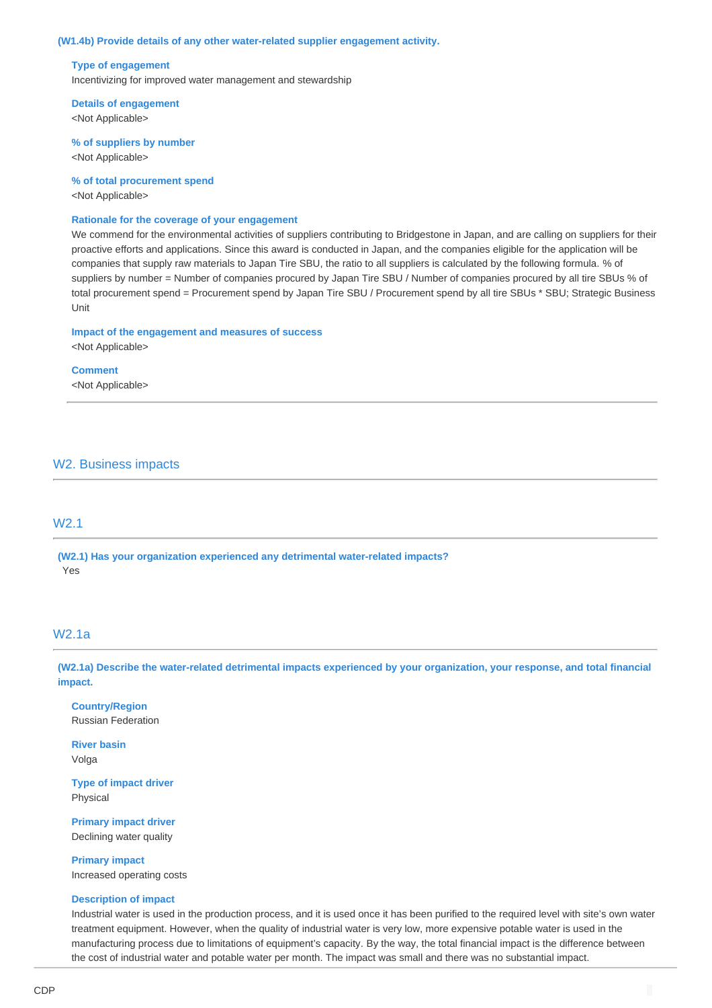### **(W1.4b) Provide details of any other water-related supplier engagement activity.**

#### **Type of engagement**

Incentivizing for improved water management and stewardship

**Details of engagement** <Not Applicable>

**% of suppliers by number** <Not Applicable>

**% of total procurement spend**

<Not Applicable>

#### **Rationale for the coverage of your engagement**

We commend for the environmental activities of suppliers contributing to Bridgestone in Japan, and are calling on suppliers for their proactive efforts and applications. Since this award is conducted in Japan, and the companies eligible for the application will be companies that supply raw materials to Japan Tire SBU, the ratio to all suppliers is calculated by the following formula. % of suppliers by number = Number of companies procured by Japan Tire SBU / Number of companies procured by all tire SBUs % of total procurement spend = Procurement spend by Japan Tire SBU / Procurement spend by all tire SBUs \* SBU; Strategic Business Unit

**Impact of the engagement and measures of success** <Not Applicable>

#### **Comment**

<Not Applicable>

## W2. Business impacts

## W2.1

**(W2.1) Has your organization experienced any detrimental water-related impacts?** Yes

### W2.1a

**(W2.1a) Describe the water-related detrimental impacts experienced by your organization, your response, and total financial impact.**

**Country/Region** Russian Federation

**River basin** Volga

**Type of impact driver** Physical

**Primary impact driver** Declining water quality

**Primary impact** Increased operating costs

### **Description of impact**

Industrial water is used in the production process, and it is used once it has been purified to the required level with site's own water treatment equipment. However, when the quality of industrial water is very low, more expensive potable water is used in the manufacturing process due to limitations of equipment's capacity. By the way, the total financial impact is the difference between the cost of industrial water and potable water per month. The impact was small and there was no substantial impact.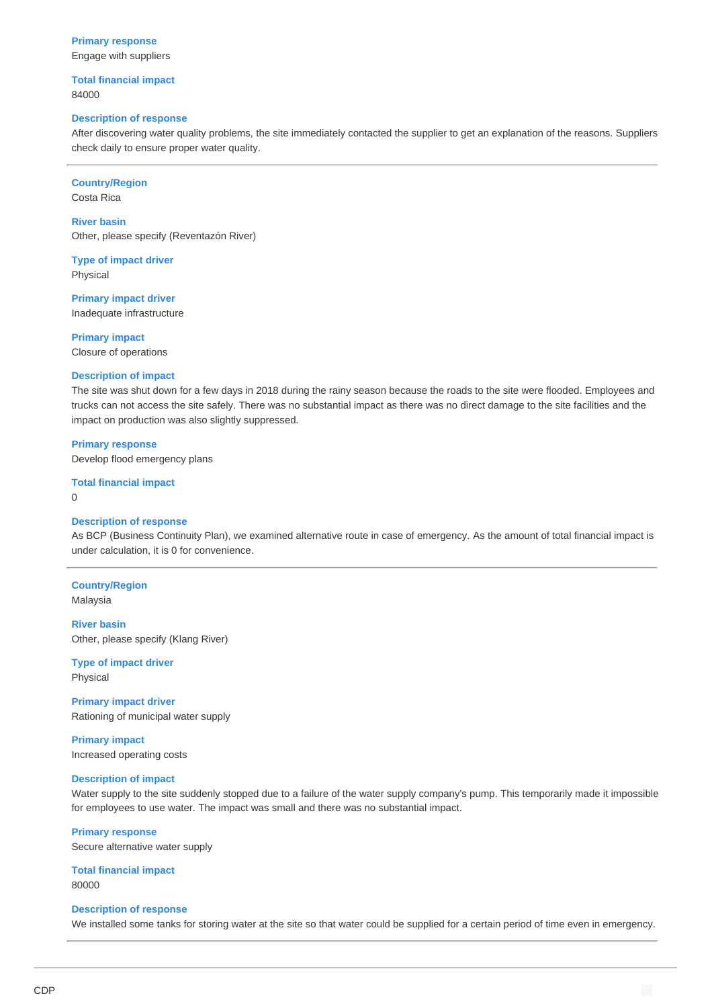**Primary response** Engage with suppliers

**Total financial impact** 84000

#### **Description of response**

After discovering water quality problems, the site immediately contacted the supplier to get an explanation of the reasons. Suppliers check daily to ensure proper water quality.

**Country/Region**

Costa Rica

**River basin** Other, please specify (Reventazón River)

**Type of impact driver** Physical

**Primary impact driver** Inadequate infrastructure

**Primary impact** Closure of operations

#### **Description of impact**

The site was shut down for a few days in 2018 during the rainy season because the roads to the site were flooded. Employees and trucks can not access the site safely. There was no substantial impact as there was no direct damage to the site facilities and the impact on production was also slightly suppressed.

**Primary response** Develop flood emergency plans

**Total financial impact**  $\Omega$ 

#### **Description of response**

As BCP (Business Continuity Plan), we examined alternative route in case of emergency. As the amount of total financial impact is under calculation, it is 0 for convenience.

# **Country/Region**

Malaysia

**River basin** Other, please specify (Klang River)

**Type of impact driver** Physical

**Primary impact driver** Rationing of municipal water supply

**Primary impact** Increased operating costs

#### **Description of impact**

Water supply to the site suddenly stopped due to a failure of the water supply company's pump. This temporarily made it impossible for employees to use water. The impact was small and there was no substantial impact.

**Primary response** Secure alternative water supply

**Total financial impact** 80000

#### **Description of response**

We installed some tanks for storing water at the site so that water could be supplied for a certain period of time even in emergency.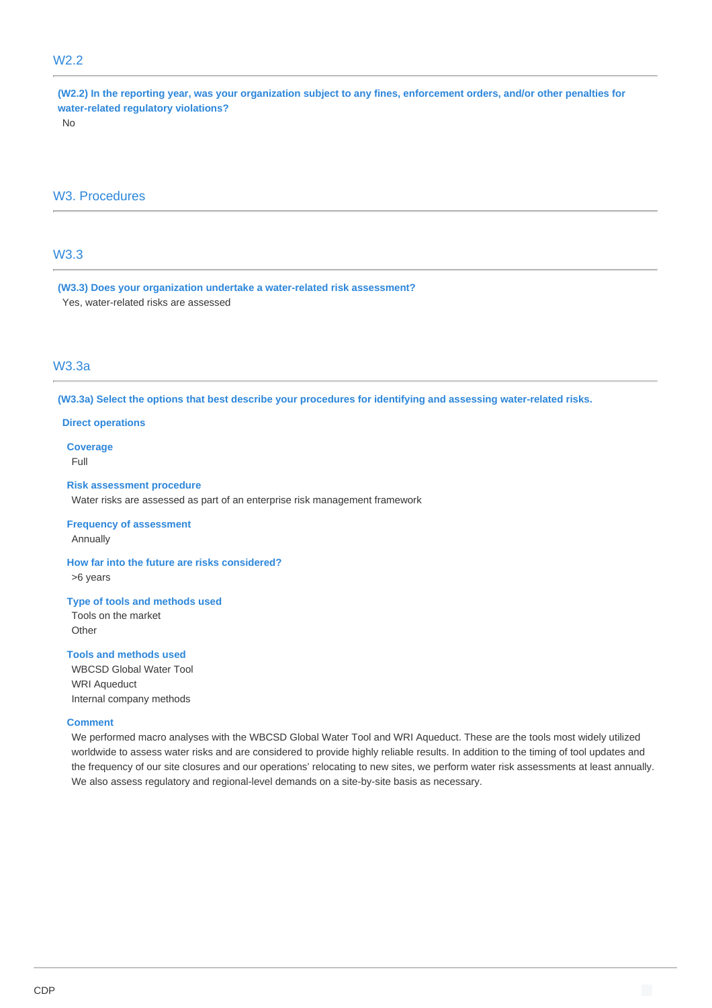# W2.2

**(W2.2) In the reporting year, was your organization subject to any fines, enforcement orders, and/or other penalties for water-related regulatory violations?**

No

# W3. Procedures

# W3.3

**(W3.3) Does your organization undertake a water-related risk assessment?** Yes, water-related risks are assessed

### W3.3a

**(W3.3a) Select the options that best describe your procedures for identifying and assessing water-related risks.**

#### **Direct operations**

**Coverage**

Full

### **Risk assessment procedure**

Water risks are assessed as part of an enterprise risk management framework

**Frequency of assessment** Annually

#### **How far into the future are risks considered?** >6 years

#### **Type of tools and methods used**

Tools on the market **Other** 

#### **Tools and methods used**

WBCSD Global Water Tool WRI Aqueduct Internal company methods

#### **Comment**

We performed macro analyses with the WBCSD Global Water Tool and WRI Aqueduct. These are the tools most widely utilized worldwide to assess water risks and are considered to provide highly reliable results. In addition to the timing of tool updates and the frequency of our site closures and our operations' relocating to new sites, we perform water risk assessments at least annually. We also assess regulatory and regional-level demands on a site-by-site basis as necessary.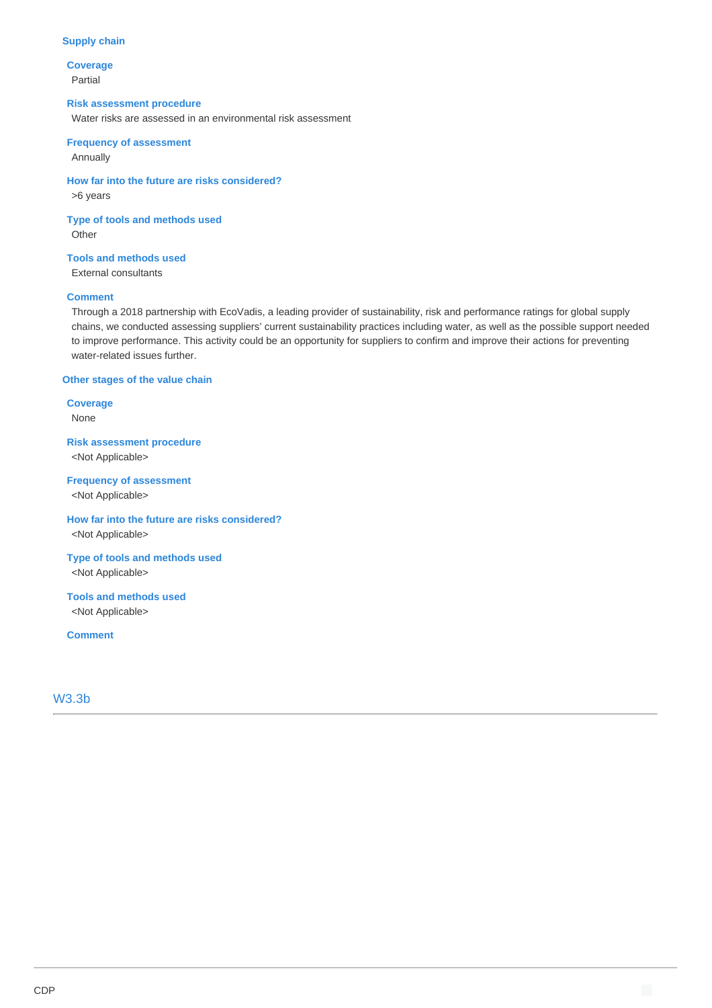#### **Supply chain**

**Coverage** Partial

#### **Risk assessment procedure**

Water risks are assessed in an environmental risk assessment

### **Frequency of assessment** Annually

**How far into the future are risks considered?** >6 years

**Type of tools and methods used Other** 

**Tools and methods used** External consultants

### **Comment**

Through a 2018 partnership with EcoVadis, a leading provider of sustainability, risk and performance ratings for global supply chains, we conducted assessing suppliers' current sustainability practices including water, as well as the possible support needed to improve performance. This activity could be an opportunity for suppliers to confirm and improve their actions for preventing water-related issues further.

#### **Other stages of the value chain**

**Coverage** None

**Risk assessment procedure** <Not Applicable>

#### **Frequency of assessment**

<Not Applicable>

**How far into the future are risks considered?** <Not Applicable>

**Type of tools and methods used** <Not Applicable>

### **Tools and methods used** <Not Applicable>

**Comment**

### W3.3b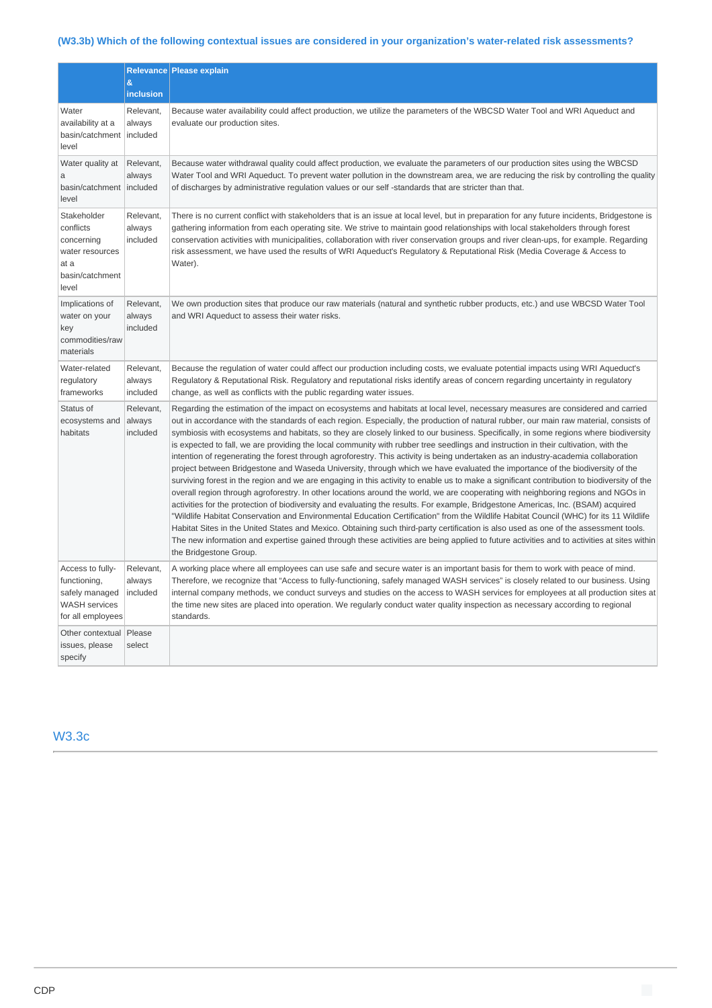# **(W3.3b) Which of the following contextual issues are considered in your organization's water-related risk assessments?**

|                                                                                                 |                                 | <b>Relevance Please explain</b>                                                                                                                                                                                                                                                                                                                                                                                                                                                                                                                                                                                                                                                                                                                                                                                                                                                                                                                                                                                                                                                                                                                                                                                                                                                                                                                                                                                                                                                                                                                                                                                                                                                                                |
|-------------------------------------------------------------------------------------------------|---------------------------------|----------------------------------------------------------------------------------------------------------------------------------------------------------------------------------------------------------------------------------------------------------------------------------------------------------------------------------------------------------------------------------------------------------------------------------------------------------------------------------------------------------------------------------------------------------------------------------------------------------------------------------------------------------------------------------------------------------------------------------------------------------------------------------------------------------------------------------------------------------------------------------------------------------------------------------------------------------------------------------------------------------------------------------------------------------------------------------------------------------------------------------------------------------------------------------------------------------------------------------------------------------------------------------------------------------------------------------------------------------------------------------------------------------------------------------------------------------------------------------------------------------------------------------------------------------------------------------------------------------------------------------------------------------------------------------------------------------------|
|                                                                                                 | $\&$<br>inclusion               |                                                                                                                                                                                                                                                                                                                                                                                                                                                                                                                                                                                                                                                                                                                                                                                                                                                                                                                                                                                                                                                                                                                                                                                                                                                                                                                                                                                                                                                                                                                                                                                                                                                                                                                |
| Water<br>availability at a<br>basin/catchment   included<br>level                               | Relevant,<br>always             | Because water availability could affect production, we utilize the parameters of the WBCSD Water Tool and WRI Aqueduct and<br>evaluate our production sites.                                                                                                                                                                                                                                                                                                                                                                                                                                                                                                                                                                                                                                                                                                                                                                                                                                                                                                                                                                                                                                                                                                                                                                                                                                                                                                                                                                                                                                                                                                                                                   |
| Water quality at<br>a<br>basin/catchment   included<br>level                                    | Relevant,<br>always             | Because water withdrawal quality could affect production, we evaluate the parameters of our production sites using the WBCSD<br>Water Tool and WRI Aqueduct. To prevent water pollution in the downstream area, we are reducing the risk by controlling the quality<br>of discharges by administrative regulation values or our self -standards that are stricter than that.                                                                                                                                                                                                                                                                                                                                                                                                                                                                                                                                                                                                                                                                                                                                                                                                                                                                                                                                                                                                                                                                                                                                                                                                                                                                                                                                   |
| Stakeholder<br>conflicts<br>concerning<br>water resources<br>at a<br>basin/catchment<br>level   | Relevant,<br>always<br>included | There is no current conflict with stakeholders that is an issue at local level, but in preparation for any future incidents, Bridgestone is<br>gathering information from each operating site. We strive to maintain good relationships with local stakeholders through forest<br>conservation activities with municipalities, collaboration with river conservation groups and river clean-ups, for example. Regarding<br>risk assessment, we have used the results of WRI Aqueduct's Regulatory & Reputational Risk (Media Coverage & Access to<br>Water).                                                                                                                                                                                                                                                                                                                                                                                                                                                                                                                                                                                                                                                                                                                                                                                                                                                                                                                                                                                                                                                                                                                                                   |
| Implications of<br>water on your<br>key<br>commodities/raw<br>materials                         | Relevant,<br>always<br>included | We own production sites that produce our raw materials (natural and synthetic rubber products, etc.) and use WBCSD Water Tool<br>and WRI Aqueduct to assess their water risks.                                                                                                                                                                                                                                                                                                                                                                                                                                                                                                                                                                                                                                                                                                                                                                                                                                                                                                                                                                                                                                                                                                                                                                                                                                                                                                                                                                                                                                                                                                                                 |
| Water-related<br>regulatory<br>frameworks                                                       | Relevant,<br>always<br>included | Because the regulation of water could affect our production including costs, we evaluate potential impacts using WRI Aqueduct's<br>Regulatory & Reputational Risk. Regulatory and reputational risks identify areas of concern regarding uncertainty in regulatory<br>change, as well as conflicts with the public regarding water issues.                                                                                                                                                                                                                                                                                                                                                                                                                                                                                                                                                                                                                                                                                                                                                                                                                                                                                                                                                                                                                                                                                                                                                                                                                                                                                                                                                                     |
| Status of<br>ecosystems and<br>habitats                                                         | Relevant,<br>always<br>included | Regarding the estimation of the impact on ecosystems and habitats at local level, necessary measures are considered and carried<br>out in accordance with the standards of each region. Especially, the production of natural rubber, our main raw material, consists of<br>symbiosis with ecosystems and habitats, so they are closely linked to our business. Specifically, in some regions where biodiversity<br>is expected to fall, we are providing the local community with rubber tree seedlings and instruction in their cultivation, with the<br>intention of regenerating the forest through agroforestry. This activity is being undertaken as an industry-academia collaboration<br>project between Bridgestone and Waseda University, through which we have evaluated the importance of the biodiversity of the<br>surviving forest in the region and we are engaging in this activity to enable us to make a significant contribution to biodiversity of the<br>overall region through agroforestry. In other locations around the world, we are cooperating with neighboring regions and NGOs in<br>activities for the protection of biodiversity and evaluating the results. For example, Bridgestone Americas, Inc. (BSAM) acquired<br>"Wildlife Habitat Conservation and Environmental Education Certification" from the Wildlife Habitat Council (WHC) for its 11 Wildlife<br>Habitat Sites in the United States and Mexico. Obtaining such third-party certification is also used as one of the assessment tools.<br>The new information and expertise gained through these activities are being applied to future activities and to activities at sites within<br>the Bridgestone Group. |
| Access to fully-<br>functioning,<br>safely managed<br><b>WASH</b> services<br>for all employees | Relevant,<br>always<br>included | A working place where all employees can use safe and secure water is an important basis for them to work with peace of mind.<br>Therefore, we recognize that "Access to fully-functioning, safely managed WASH services" is closely related to our business. Using<br>internal company methods, we conduct surveys and studies on the access to WASH services for employees at all production sites at<br>the time new sites are placed into operation. We regularly conduct water quality inspection as necessary according to regional<br>standards.                                                                                                                                                                                                                                                                                                                                                                                                                                                                                                                                                                                                                                                                                                                                                                                                                                                                                                                                                                                                                                                                                                                                                         |
| Other contextual   Please<br>issues, please<br>specify                                          | select                          |                                                                                                                                                                                                                                                                                                                                                                                                                                                                                                                                                                                                                                                                                                                                                                                                                                                                                                                                                                                                                                                                                                                                                                                                                                                                                                                                                                                                                                                                                                                                                                                                                                                                                                                |

## W3.3c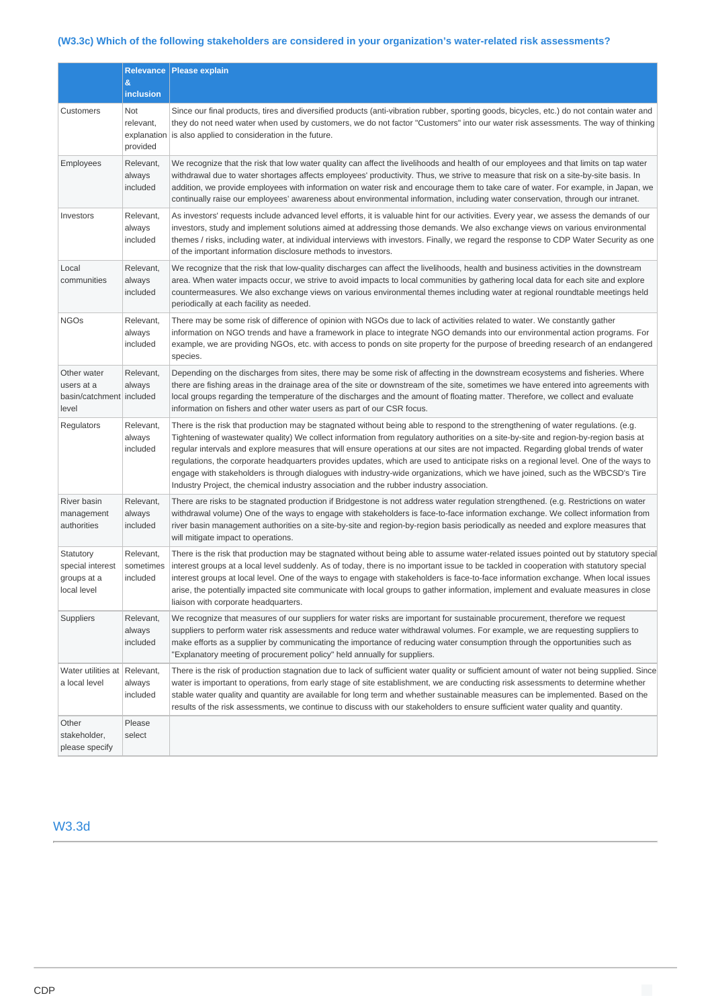# **(W3.3c) Which of the following stakeholders are considered in your organization's water-related risk assessments?**

|                                                                  | &                                           | Relevance   Please explain                                                                                                                                                                                                                                                                                                                                                                                                                                                                                                                                                                                                                                                                                                                                                            |
|------------------------------------------------------------------|---------------------------------------------|---------------------------------------------------------------------------------------------------------------------------------------------------------------------------------------------------------------------------------------------------------------------------------------------------------------------------------------------------------------------------------------------------------------------------------------------------------------------------------------------------------------------------------------------------------------------------------------------------------------------------------------------------------------------------------------------------------------------------------------------------------------------------------------|
|                                                                  | inclusion                                   |                                                                                                                                                                                                                                                                                                                                                                                                                                                                                                                                                                                                                                                                                                                                                                                       |
| Customers                                                        | Not<br>relevant,<br>explanation<br>provided | Since our final products, tires and diversified products (anti-vibration rubber, sporting goods, bicycles, etc.) do not contain water and<br>they do not need water when used by customers, we do not factor "Customers" into our water risk assessments. The way of thinking<br>is also applied to consideration in the future.                                                                                                                                                                                                                                                                                                                                                                                                                                                      |
| Employees                                                        | Relevant,<br>always<br>included             | We recognize that the risk that low water quality can affect the livelihoods and health of our employees and that limits on tap water<br>withdrawal due to water shortages affects employees' productivity. Thus, we strive to measure that risk on a site-by-site basis. In<br>addition, we provide employees with information on water risk and encourage them to take care of water. For example, in Japan, we<br>continually raise our employees' awareness about environmental information, including water conservation, through our intranet.                                                                                                                                                                                                                                  |
| Investors                                                        | Relevant,<br>always<br>included             | As investors' requests include advanced level efforts, it is valuable hint for our activities. Every year, we assess the demands of our<br>investors, study and implement solutions aimed at addressing those demands. We also exchange views on various environmental<br>themes / risks, including water, at individual interviews with investors. Finally, we regard the response to CDP Water Security as one<br>of the important information disclosure methods to investors.                                                                                                                                                                                                                                                                                                     |
| Local<br>communities                                             | Relevant,<br>always<br>included             | We recognize that the risk that low-quality discharges can affect the livelihoods, health and business activities in the downstream<br>area. When water impacts occur, we strive to avoid impacts to local communities by gathering local data for each site and explore<br>countermeasures. We also exchange views on various environmental themes including water at regional roundtable meetings held<br>periodically at each facility as needed.                                                                                                                                                                                                                                                                                                                                  |
| <b>NGOs</b>                                                      | Relevant,<br>always<br>included             | There may be some risk of difference of opinion with NGOs due to lack of activities related to water. We constantly gather<br>information on NGO trends and have a framework in place to integrate NGO demands into our environmental action programs. For<br>example, we are providing NGOs, etc. with access to ponds on site property for the purpose of breeding research of an endangered<br>species.                                                                                                                                                                                                                                                                                                                                                                            |
| Other water<br>users at a<br>basin/catchment   included<br>level | Relevant,<br>always                         | Depending on the discharges from sites, there may be some risk of affecting in the downstream ecosystems and fisheries. Where<br>there are fishing areas in the drainage area of the site or downstream of the site, sometimes we have entered into agreements with<br>local groups regarding the temperature of the discharges and the amount of floating matter. Therefore, we collect and evaluate<br>information on fishers and other water users as part of our CSR focus.                                                                                                                                                                                                                                                                                                       |
| Regulators                                                       | Relevant,<br>always<br>included             | There is the risk that production may be stagnated without being able to respond to the strengthening of water regulations. (e.g.<br>Tightening of wastewater quality) We collect information from regulatory authorities on a site-by-site and region-by-region basis at<br>regular intervals and explore measures that will ensure operations at our sites are not impacted. Regarding global trends of water<br>regulations, the corporate headquarters provides updates, which are used to anticipate risks on a regional level. One of the ways to<br>engage with stakeholders is through dialogues with industry-wide organizations, which we have joined, such as the WBCSD's Tire<br>Industry Project, the chemical industry association and the rubber industry association. |
| River basin<br>management<br>authorities                         | Relevant,<br>always<br>included             | There are risks to be stagnated production if Bridgestone is not address water regulation strengthened. (e.g. Restrictions on water<br>withdrawal volume) One of the ways to engage with stakeholders is face-to-face information exchange. We collect information from<br>river basin management authorities on a site-by-site and region-by-region basis periodically as needed and explore measures that<br>will mitigate impact to operations.                                                                                                                                                                                                                                                                                                                                    |
| Statutory<br>special interest<br>groups at a<br>local level      | Relevant,<br>sometimes<br>included          | There is the risk that production may be stagnated without being able to assume water-related issues pointed out by statutory special<br>interest groups at a local level suddenly. As of today, there is no important issue to be tackled in cooperation with statutory special<br>interest groups at local level. One of the ways to engage with stakeholders is face-to-face information exchange. When local issues<br>arise, the potentially impacted site communicate with local groups to gather information, implement and evaluate measures in close<br>liaison with corporate headquarters.                                                                                                                                                                                 |
| Suppliers                                                        | Relevant,<br>always<br>included             | We recognize that measures of our suppliers for water risks are important for sustainable procurement, therefore we request<br>suppliers to perform water risk assessments and reduce water withdrawal volumes. For example, we are requesting suppliers to<br>make efforts as a supplier by communicating the importance of reducing water consumption through the opportunities such as<br>"Explanatory meeting of procurement policy" held annually for suppliers.                                                                                                                                                                                                                                                                                                                 |
| Water utilities at Relevant,<br>a local level                    | always<br>included                          | There is the risk of production stagnation due to lack of sufficient water quality or sufficient amount of water not being supplied. Since<br>water is important to operations, from early stage of site establishment, we are conducting risk assessments to determine whether<br>stable water quality and quantity are available for long term and whether sustainable measures can be implemented. Based on the<br>results of the risk assessments, we continue to discuss with our stakeholders to ensure sufficient water quality and quantity.                                                                                                                                                                                                                                  |
| Other<br>stakeholder,<br>please specify                          | Please<br>select                            |                                                                                                                                                                                                                                                                                                                                                                                                                                                                                                                                                                                                                                                                                                                                                                                       |

# W3.3d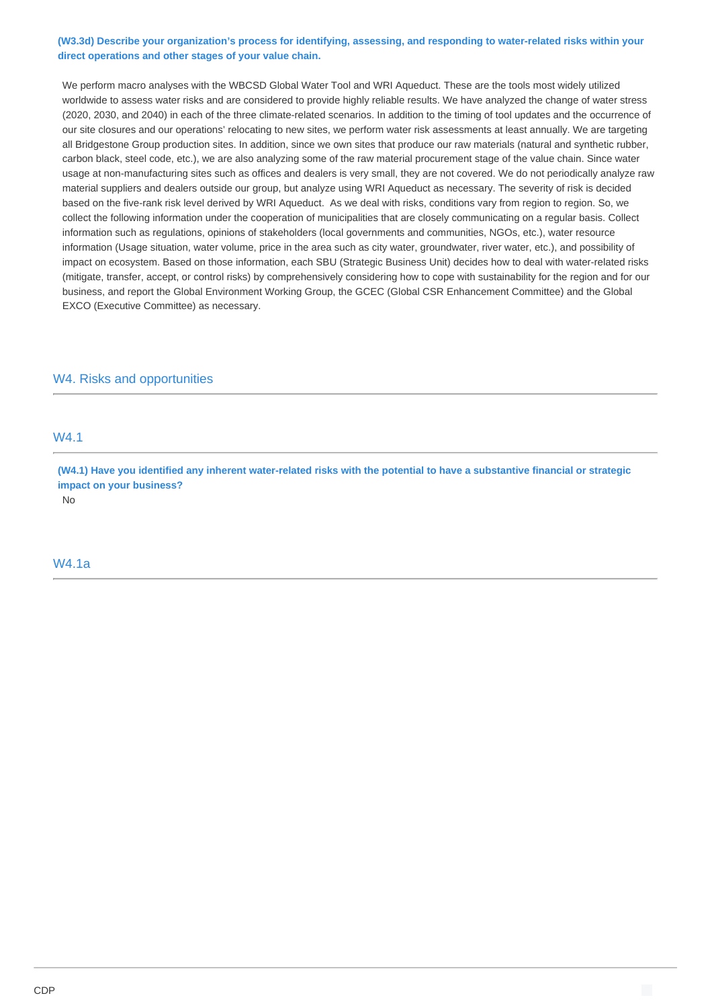### **(W3.3d) Describe your organization's process for identifying, assessing, and responding to water-related risks within your direct operations and other stages of your value chain.**

We perform macro analyses with the WBCSD Global Water Tool and WRI Aqueduct. These are the tools most widely utilized worldwide to assess water risks and are considered to provide highly reliable results. We have analyzed the change of water stress (2020, 2030, and 2040) in each of the three climate-related scenarios. In addition to the timing of tool updates and the occurrence of our site closures and our operations' relocating to new sites, we perform water risk assessments at least annually. We are targeting all Bridgestone Group production sites. In addition, since we own sites that produce our raw materials (natural and synthetic rubber, carbon black, steel code, etc.), we are also analyzing some of the raw material procurement stage of the value chain. Since water usage at non-manufacturing sites such as offices and dealers is very small, they are not covered. We do not periodically analyze raw material suppliers and dealers outside our group, but analyze using WRI Aqueduct as necessary. The severity of risk is decided based on the five-rank risk level derived by WRI Aqueduct. As we deal with risks, conditions vary from region to region. So, we collect the following information under the cooperation of municipalities that are closely communicating on a regular basis. Collect information such as regulations, opinions of stakeholders (local governments and communities, NGOs, etc.), water resource information (Usage situation, water volume, price in the area such as city water, groundwater, river water, etc.), and possibility of impact on ecosystem. Based on those information, each SBU (Strategic Business Unit) decides how to deal with water-related risks (mitigate, transfer, accept, or control risks) by comprehensively considering how to cope with sustainability for the region and for our business, and report the Global Environment Working Group, the GCEC (Global CSR Enhancement Committee) and the Global EXCO (Executive Committee) as necessary.

### W4. Risks and opportunities

## W4.1

**(W4.1) Have you identified any inherent water-related risks with the potential to have a substantive financial or strategic impact on your business?**

No

#### W4.1a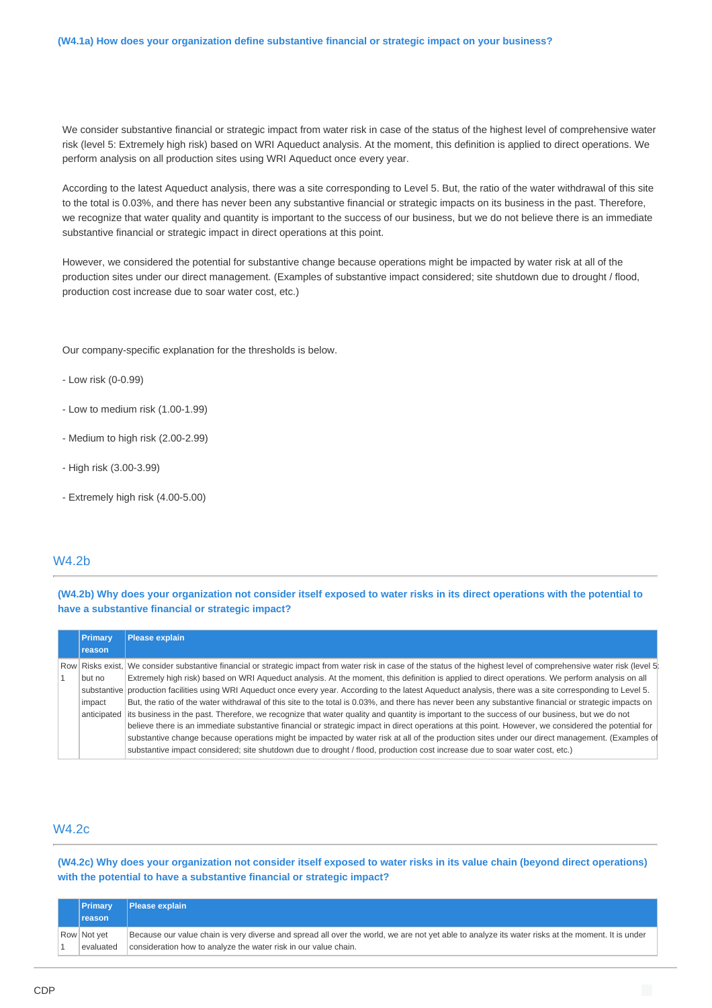We consider substantive financial or strategic impact from water risk in case of the status of the highest level of comprehensive water risk (level 5: Extremely high risk) based on WRI Aqueduct analysis. At the moment, this definition is applied to direct operations. We perform analysis on all production sites using WRI Aqueduct once every year.

According to the latest Aqueduct analysis, there was a site corresponding to Level 5. But, the ratio of the water withdrawal of this site to the total is 0.03%, and there has never been any substantive financial or strategic impacts on its business in the past. Therefore, we recognize that water quality and quantity is important to the success of our business, but we do not believe there is an immediate substantive financial or strategic impact in direct operations at this point.

However, we considered the potential for substantive change because operations might be impacted by water risk at all of the production sites under our direct management. (Examples of substantive impact considered; site shutdown due to drought / flood, production cost increase due to soar water cost, etc.)

Our company-specific explanation for the thresholds is below.

- Low risk (0-0.99)
- Low to medium risk (1.00-1.99)
- Medium to high risk (2.00-2.99)
- High risk (3.00-3.99)
- Extremely high risk (4.00-5.00)

### W4.2b

**(W4.2b) Why does your organization not consider itself exposed to water risks in its direct operations with the potential to have a substantive financial or strategic impact?**

| Primary     | <b>Please explain</b>                                                                                                                                                   |
|-------------|-------------------------------------------------------------------------------------------------------------------------------------------------------------------------|
| reason      |                                                                                                                                                                         |
|             | Row Risks exist, We consider substantive financial or strategic impact from water risk in case of the status of the highest level of comprehensive water risk (level 5) |
| but no      | Extremely high risk) based on WRI Agueduct analysis. At the moment, this definition is applied to direct operations. We perform analysis on all                         |
|             | substantive production facilities using WRI Aqueduct once every year. According to the latest Aqueduct analysis, there was a site corresponding to Level 5.             |
| impact      | But, the ratio of the water withdrawal of this site to the total is 0.03%, and there has never been any substantive financial or strategic impacts on                   |
| anticipated | its business in the past. Therefore, we recognize that water quality and quantity is important to the success of our business, but we do not                            |
|             | believe there is an immediate substantive financial or strategic impact in direct operations at this point. However, we considered the potential for                    |
|             | substantive change because operations might be impacted by water risk at all of the production sites under our direct management. (Examples of                          |
|             | substantive impact considered; site shutdown due to drought / flood, production cost increase due to soar water cost, etc.)                                             |

### W4.2c

**(W4.2c) Why does your organization not consider itself exposed to water risks in its value chain (beyond direct operations) with the potential to have a substantive financial or strategic impact?**

| <b>Primary</b> | Please explain                                                                                                                                   |
|----------------|--------------------------------------------------------------------------------------------------------------------------------------------------|
| reason         |                                                                                                                                                  |
| Row Not yet    | Because our value chain is very diverse and spread all over the world, we are not yet able to analyze its water risks at the moment. It is under |
| evaluated      | consideration how to analyze the water risk in our value chain.                                                                                  |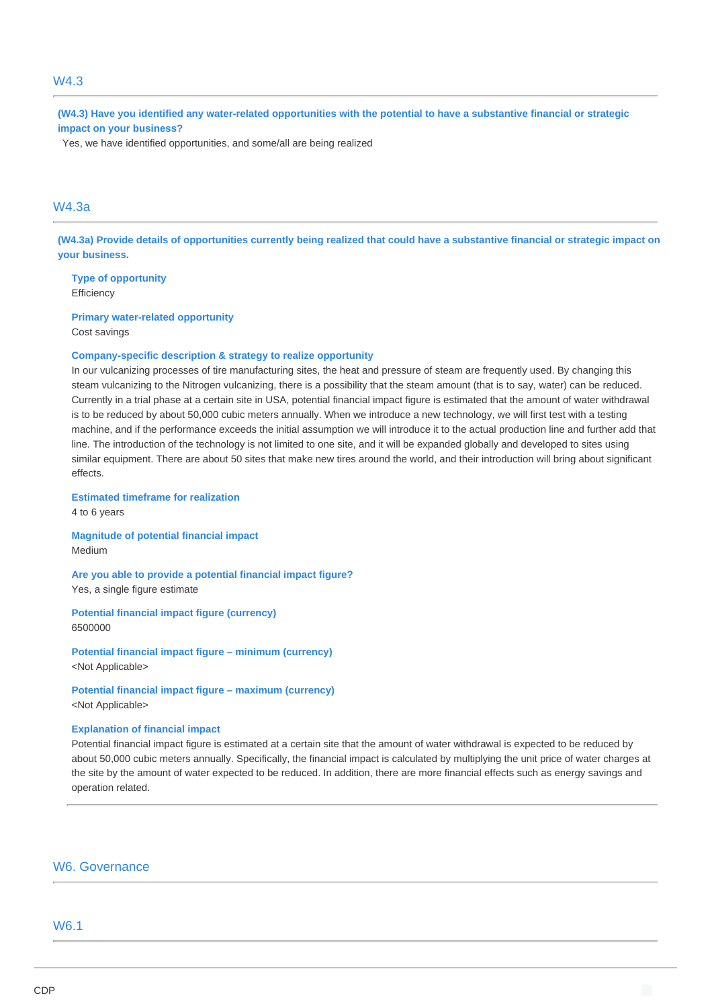### W4.3

**(W4.3) Have you identified any water-related opportunities with the potential to have a substantive financial or strategic impact on your business?**

Yes, we have identified opportunities, and some/all are being realized

# W4.3a

**(W4.3a) Provide details of opportunities currently being realized that could have a substantive financial or strategic impact on your business.**

**Type of opportunity Efficiency** 

**Primary water-related opportunity** Cost savings

#### **Company-specific description & strategy to realize opportunity**

In our vulcanizing processes of tire manufacturing sites, the heat and pressure of steam are frequently used. By changing this steam vulcanizing to the Nitrogen vulcanizing, there is a possibility that the steam amount (that is to say, water) can be reduced. Currently in a trial phase at a certain site in USA, potential financial impact figure is estimated that the amount of water withdrawal is to be reduced by about 50,000 cubic meters annually. When we introduce a new technology, we will first test with a testing machine, and if the performance exceeds the initial assumption we will introduce it to the actual production line and further add that line. The introduction of the technology is not limited to one site, and it will be expanded globally and developed to sites using similar equipment. There are about 50 sites that make new tires around the world, and their introduction will bring about significant effects.

#### **Estimated timeframe for realization**

4 to 6 years

**Magnitude of potential financial impact** Medium

**Are you able to provide a potential financial impact figure?** Yes, a single figure estimate

**Potential financial impact figure (currency)** 6500000

**Potential financial impact figure – minimum (currency)** <Not Applicable>

**Potential financial impact figure – maximum (currency)** <Not Applicable>

#### **Explanation of financial impact**

Potential financial impact figure is estimated at a certain site that the amount of water withdrawal is expected to be reduced by about 50,000 cubic meters annually. Specifically, the financial impact is calculated by multiplying the unit price of water charges at the site by the amount of water expected to be reduced. In addition, there are more financial effects such as energy savings and operation related.

### W6. Governance

## W6.1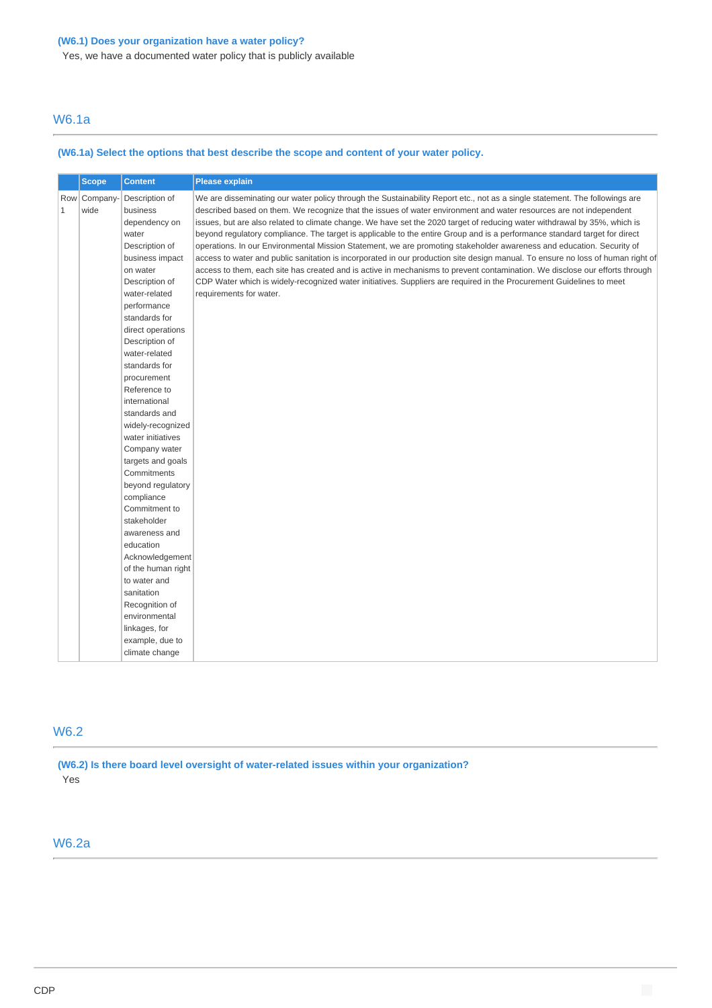## **(W6.1) Does your organization have a water policy?**

Yes, we have a documented water policy that is publicly available

# W6.1a

## **(W6.1a) Select the options that best describe the scope and content of your water policy.**

|              | <b>Scope</b>         | <b>Content</b>                                                                                                                                                                                                                                                                                                                                                                                                                                                                                                                        | Please explain                                                                                                                                                                                                                                                                                                                                                                                                                                                                                                                                                                                                                                                                                                                                                                                                                                                                                                                                                                                                                                             |  |  |  |
|--------------|----------------------|---------------------------------------------------------------------------------------------------------------------------------------------------------------------------------------------------------------------------------------------------------------------------------------------------------------------------------------------------------------------------------------------------------------------------------------------------------------------------------------------------------------------------------------|------------------------------------------------------------------------------------------------------------------------------------------------------------------------------------------------------------------------------------------------------------------------------------------------------------------------------------------------------------------------------------------------------------------------------------------------------------------------------------------------------------------------------------------------------------------------------------------------------------------------------------------------------------------------------------------------------------------------------------------------------------------------------------------------------------------------------------------------------------------------------------------------------------------------------------------------------------------------------------------------------------------------------------------------------------|--|--|--|
| $\mathbf{1}$ | Row Company-<br>wide | Description of<br>business<br>dependency on<br>water<br>Description of<br>business impact<br>on water<br>Description of<br>water-related<br>performance<br>standards for<br>direct operations<br>Description of<br>water-related<br>standards for<br>procurement<br>Reference to<br>international<br>standards and<br>widely-recognized<br>water initiatives<br>Company water<br>targets and goals<br>Commitments<br>beyond regulatory<br>compliance<br>Commitment to<br>stakeholder<br>awareness and<br>education<br>Acknowledgement | We are disseminating our water policy through the Sustainability Report etc., not as a single statement. The followings are<br>described based on them. We recognize that the issues of water environment and water resources are not independent<br>issues, but are also related to climate change. We have set the 2020 target of reducing water withdrawal by 35%, which is<br>beyond regulatory compliance. The target is applicable to the entire Group and is a performance standard target for direct<br>operations. In our Environmental Mission Statement, we are promoting stakeholder awareness and education. Security of<br>access to water and public sanitation is incorporated in our production site design manual. To ensure no loss of human right of<br>access to them, each site has created and is active in mechanisms to prevent contamination. We disclose our efforts through<br>CDP Water which is widely-recognized water initiatives. Suppliers are required in the Procurement Guidelines to meet<br>requirements for water. |  |  |  |
|              |                      | of the human right<br>to water and                                                                                                                                                                                                                                                                                                                                                                                                                                                                                                    |                                                                                                                                                                                                                                                                                                                                                                                                                                                                                                                                                                                                                                                                                                                                                                                                                                                                                                                                                                                                                                                            |  |  |  |
|              |                      | sanitation<br>Recognition of<br>environmental<br>linkages, for<br>example, due to<br>climate change                                                                                                                                                                                                                                                                                                                                                                                                                                   |                                                                                                                                                                                                                                                                                                                                                                                                                                                                                                                                                                                                                                                                                                                                                                                                                                                                                                                                                                                                                                                            |  |  |  |

# W6.2

**(W6.2) Is there board level oversight of water-related issues within your organization?** Yes

# W6.2a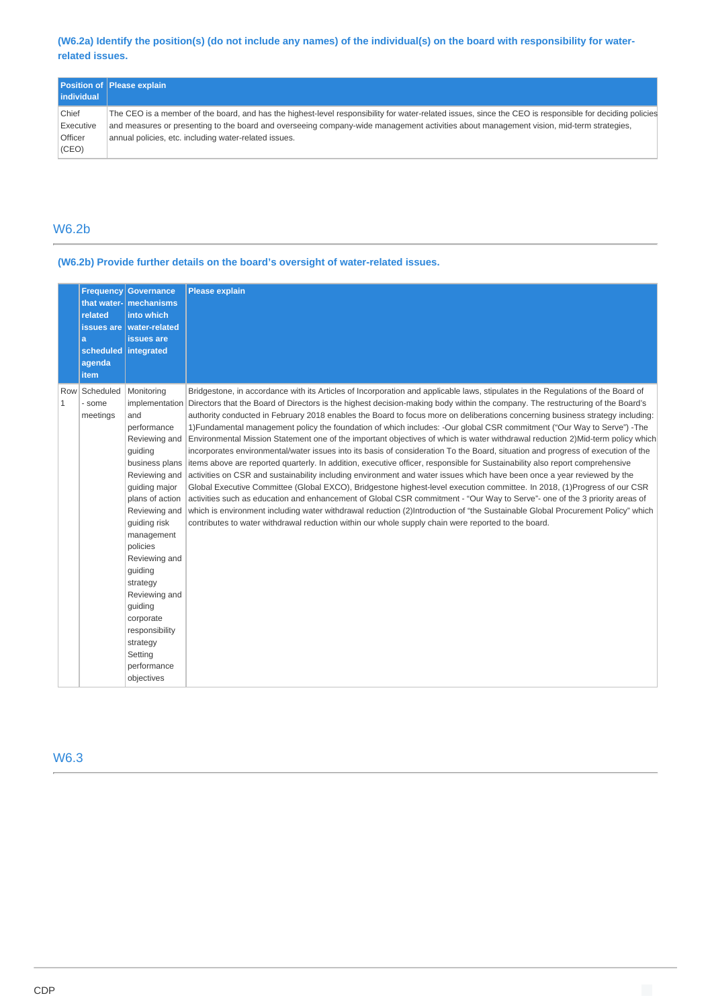### **(W6.2a) Identify the position(s) (do not include any names) of the individual(s) on the board with responsibility for waterrelated issues.**

|                    | <b>Position of Please explain</b>                                                                                                                       |
|--------------------|---------------------------------------------------------------------------------------------------------------------------------------------------------|
| <b>lindividual</b> |                                                                                                                                                         |
| Chief              | The CEO is a member of the board, and has the highest-level responsibility for water-related issues, since the CEO is responsible for deciding policies |
| Executive          | and measures or presenting to the board and overseeing company-wide management activities about management vision, mid-term strategies,                 |
| Officer            | annual policies, etc. including water-related issues.                                                                                                   |
| (CEO)              |                                                                                                                                                         |

# W6.2b

### **(W6.2b) Provide further details on the board's oversight of water-related issues.**

|              | that water-<br>related<br>a<br>scheduled integrated<br>agenda<br>item | <b>Frequency Governance</b><br>mechanisms<br>into which<br>issues are   water-related<br>issues are                                                                                                                                                                                                                                                   | <b>Please explain</b>                                                                                                                                                                                                                                                                                                                                                                                                                                                                                                                                                                                                                                                                                                                                                                                                                                                                                                                                                                                                                                                                                                                                                                                                                                                                                                                                                                                                                                                                                                                                                              |
|--------------|-----------------------------------------------------------------------|-------------------------------------------------------------------------------------------------------------------------------------------------------------------------------------------------------------------------------------------------------------------------------------------------------------------------------------------------------|------------------------------------------------------------------------------------------------------------------------------------------------------------------------------------------------------------------------------------------------------------------------------------------------------------------------------------------------------------------------------------------------------------------------------------------------------------------------------------------------------------------------------------------------------------------------------------------------------------------------------------------------------------------------------------------------------------------------------------------------------------------------------------------------------------------------------------------------------------------------------------------------------------------------------------------------------------------------------------------------------------------------------------------------------------------------------------------------------------------------------------------------------------------------------------------------------------------------------------------------------------------------------------------------------------------------------------------------------------------------------------------------------------------------------------------------------------------------------------------------------------------------------------------------------------------------------------|
| $\mathbf{1}$ | Row Scheduled<br>- some<br>meetings                                   | Monitoring<br>and<br>performance<br>Reviewing and<br>guiding<br>business plans<br>Reviewing and<br>quiding major<br>plans of action<br>Reviewing and<br>quiding risk<br>management<br>policies<br>Reviewing and<br>guiding<br>strategy<br>Reviewing and<br>quiding<br>corporate<br>responsibility<br>strategy<br>Setting<br>performance<br>objectives | Bridgestone, in accordance with its Articles of Incorporation and applicable laws, stipulates in the Regulations of the Board of<br>implementation Directors that the Board of Directors is the highest decision-making body within the company. The restructuring of the Board's<br>authority conducted in February 2018 enables the Board to focus more on deliberations concerning business strategy including:<br>1) Fundamental management policy the foundation of which includes: -Our global CSR commitment ("Our Way to Serve") -The<br>Environmental Mission Statement one of the important objectives of which is water withdrawal reduction 2) Mid-term policy which<br>incorporates environmental/water issues into its basis of consideration To the Board, situation and progress of execution of the<br>items above are reported quarterly. In addition, executive officer, responsible for Sustainability also report comprehensive<br>activities on CSR and sustainability including environment and water issues which have been once a year reviewed by the<br>Global Executive Committee (Global EXCO), Bridgestone highest-level execution committee. In 2018, (1)Progress of our CSR<br>activities such as education and enhancement of Global CSR commitment - "Our Way to Serve"- one of the 3 priority areas of<br>which is environment including water withdrawal reduction (2)Introduction of "the Sustainable Global Procurement Policy" which<br>contributes to water withdrawal reduction within our whole supply chain were reported to the board. |

W6.3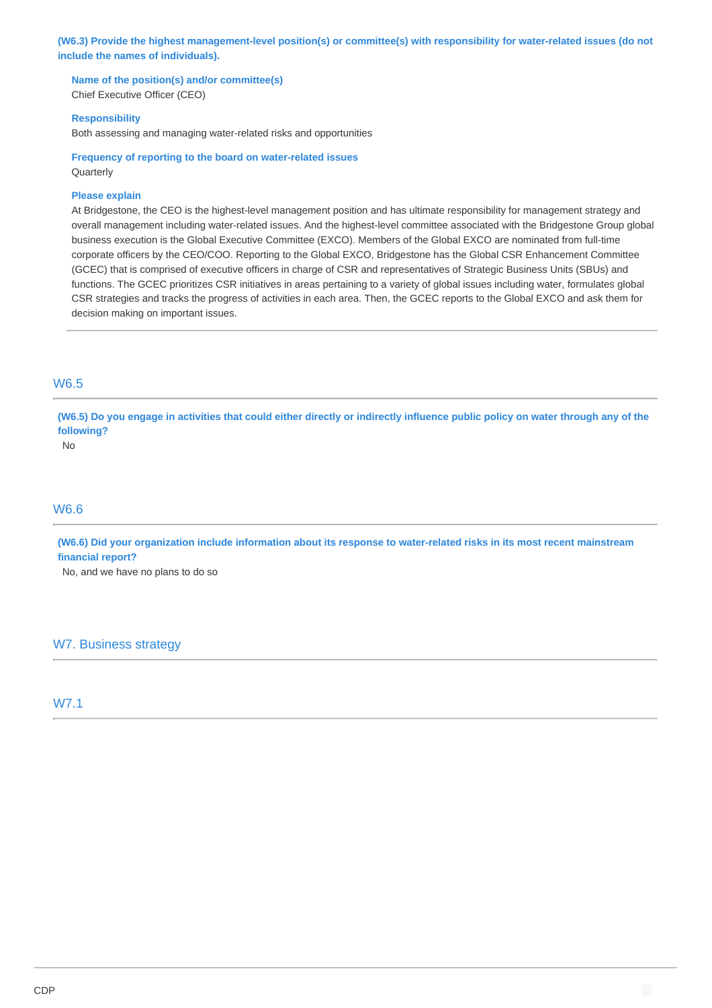**(W6.3) Provide the highest management-level position(s) or committee(s) with responsibility for water-related issues (do not include the names of individuals).**

**Name of the position(s) and/or committee(s)**

Chief Executive Officer (CEO)

### **Responsibility**

Both assessing and managing water-related risks and opportunities

**Frequency of reporting to the board on water-related issues** Quarterly

#### **Please explain**

At Bridgestone, the CEO is the highest-level management position and has ultimate responsibility for management strategy and overall management including water-related issues. And the highest-level committee associated with the Bridgestone Group global business execution is the Global Executive Committee (EXCO). Members of the Global EXCO are nominated from full-time corporate officers by the CEO/COO. Reporting to the Global EXCO, Bridgestone has the Global CSR Enhancement Committee (GCEC) that is comprised of executive officers in charge of CSR and representatives of Strategic Business Units (SBUs) and functions. The GCEC prioritizes CSR initiatives in areas pertaining to a variety of global issues including water, formulates global CSR strategies and tracks the progress of activities in each area. Then, the GCEC reports to the Global EXCO and ask them for decision making on important issues.

### W6.5

**(W6.5) Do you engage in activities that could either directly or indirectly influence public policy on water through any of the following?**

No

# W6.6

**(W6.6) Did your organization include information about its response to water-related risks in its most recent mainstream financial report?**

No, and we have no plans to do so

# W7. Business strategy

W7.1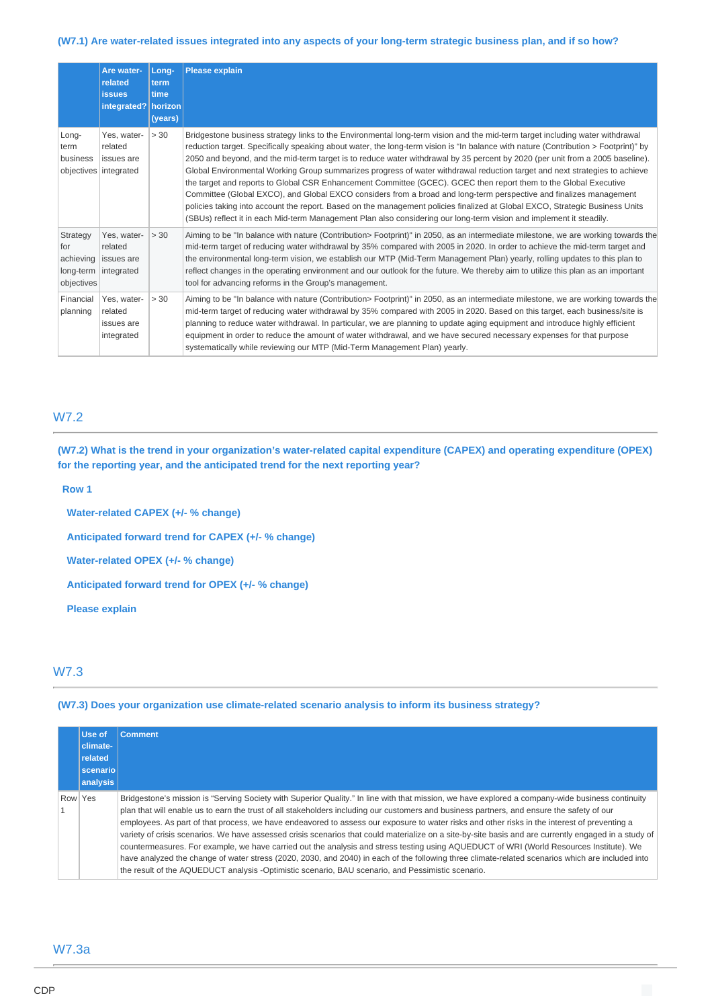### **(W7.1) Are water-related issues integrated into any aspects of your long-term strategic business plan, and if so how?**

|                                                         | Are water-<br>related<br><b>issues</b><br>integrated?   horizon | Long-<br>term<br>time<br>(years) | <b>Please explain</b>                                                                                                                                                                                                                                                                                                                                                                                                                                                                                                                                                                                                                                                                                                                                                                                                                                                                                                                                                                                                               |
|---------------------------------------------------------|-----------------------------------------------------------------|----------------------------------|-------------------------------------------------------------------------------------------------------------------------------------------------------------------------------------------------------------------------------------------------------------------------------------------------------------------------------------------------------------------------------------------------------------------------------------------------------------------------------------------------------------------------------------------------------------------------------------------------------------------------------------------------------------------------------------------------------------------------------------------------------------------------------------------------------------------------------------------------------------------------------------------------------------------------------------------------------------------------------------------------------------------------------------|
| Long-<br>term<br>business                               | Yes, water-<br>related<br>issues are<br>objectives integrated   | > 30                             | Bridgestone business strategy links to the Environmental long-term vision and the mid-term target including water withdrawal<br>reduction target. Specifically speaking about water, the long-term vision is "In balance with nature (Contribution > Footprint)" by<br>2050 and beyond, and the mid-term target is to reduce water withdrawal by 35 percent by 2020 (per unit from a 2005 baseline).<br>Global Environmental Working Group summarizes progress of water withdrawal reduction target and next strategies to achieve<br>the target and reports to Global CSR Enhancement Committee (GCEC). GCEC then report them to the Global Executive<br>Committee (Global EXCO), and Global EXCO considers from a broad and long-term perspective and finalizes management<br>policies taking into account the report. Based on the management policies finalized at Global EXCO, Strategic Business Units<br>(SBUs) reflect it in each Mid-term Management Plan also considering our long-term vision and implement it steadily. |
| Strategy<br>for<br>achieving<br>long-term<br>objectives | Yes. water-<br>related<br>issues are<br>integrated              | > 30                             | Aiming to be "In balance with nature (Contribution> Footprint)" in 2050, as an intermediate milestone, we are working towards the<br>mid-term target of reducing water withdrawal by 35% compared with 2005 in 2020. In order to achieve the mid-term target and<br>the environmental long-term vision, we establish our MTP (Mid-Term Management Plan) yearly, rolling updates to this plan to<br>reflect changes in the operating environment and our outlook for the future. We thereby aim to utilize this plan as an important<br>tool for advancing reforms in the Group's management.                                                                                                                                                                                                                                                                                                                                                                                                                                        |
| Financial<br>planning                                   | Yes. water-<br>related<br>issues are<br>integrated              | > 30                             | Aiming to be "In balance with nature (Contribution> Footprint)" in 2050, as an intermediate milestone, we are working towards the<br>mid-term target of reducing water withdrawal by 35% compared with 2005 in 2020. Based on this target, each business/site is<br>planning to reduce water withdrawal. In particular, we are planning to update aging equipment and introduce highly efficient<br>equipment in order to reduce the amount of water withdrawal, and we have secured necessary expenses for that purpose<br>systematically while reviewing our MTP (Mid-Term Management Plan) yearly.                                                                                                                                                                                                                                                                                                                                                                                                                               |

# W7.2

**(W7.2) What is the trend in your organization's water-related capital expenditure (CAPEX) and operating expenditure (OPEX) for the reporting year, and the anticipated trend for the next reporting year?**

#### **Row 1**

**Water-related CAPEX (+/- % change) Anticipated forward trend for CAPEX (+/- % change) Water-related OPEX (+/- % change) Anticipated forward trend for OPEX (+/- % change) Please explain**

## W7.3

#### **(W7.3) Does your organization use climate-related scenario analysis to inform its business strategy?**

|         | Use of<br>climate-<br>related<br>scenariol<br>analysis | <b>Comment</b>                                                                                                                                                                                                                                                                                                                                                                                                                                                                                                                                                                                                                                                                                                                                                                                                                                                                                                                                                                                              |
|---------|--------------------------------------------------------|-------------------------------------------------------------------------------------------------------------------------------------------------------------------------------------------------------------------------------------------------------------------------------------------------------------------------------------------------------------------------------------------------------------------------------------------------------------------------------------------------------------------------------------------------------------------------------------------------------------------------------------------------------------------------------------------------------------------------------------------------------------------------------------------------------------------------------------------------------------------------------------------------------------------------------------------------------------------------------------------------------------|
| Row Yes |                                                        | Bridgestone's mission is "Serving Society with Superior Quality." In line with that mission, we have explored a company-wide business continuity<br>plan that will enable us to earn the trust of all stakeholders including our customers and business partners, and ensure the safety of our<br>employees. As part of that process, we have endeavored to assess our exposure to water risks and other risks in the interest of preventing a<br>variety of crisis scenarios. We have assessed crisis scenarios that could materialize on a site-by-site basis and are currently engaged in a study of<br>countermeasures. For example, we have carried out the analysis and stress testing using AQUEDUCT of WRI (World Resources Institute). We<br>have analyzed the change of water stress (2020, 2030, and 2040) in each of the following three climate-related scenarios which are included into<br>the result of the AQUEDUCT analysis -Optimistic scenario, BAU scenario, and Pessimistic scenario. |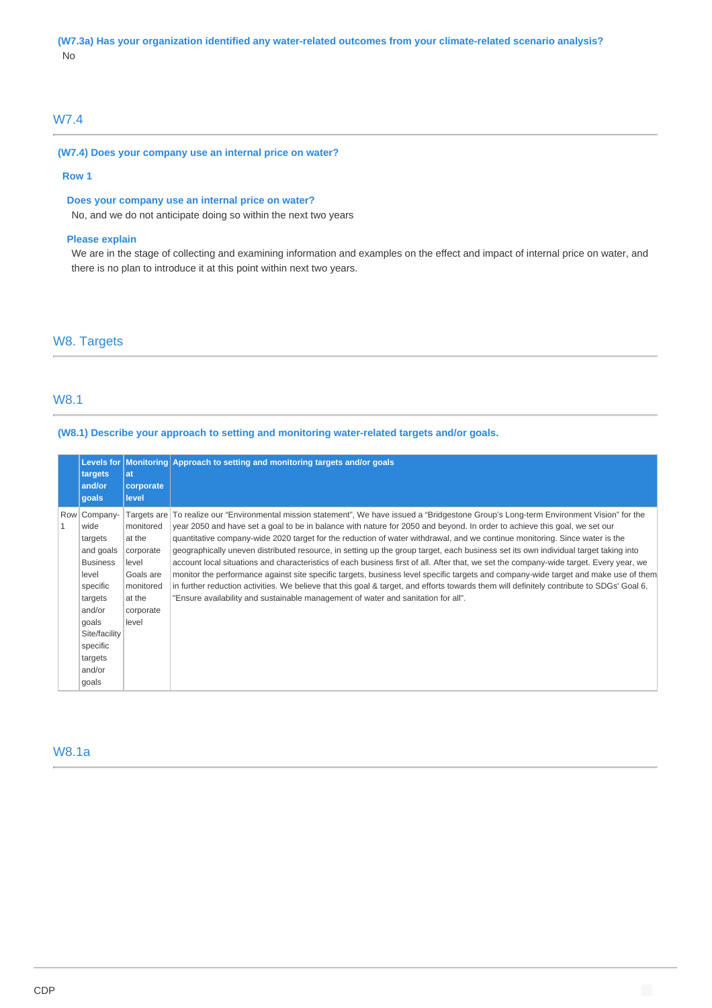# W7.4

#### **(W7.4) Does your company use an internal price on water?**

#### **Row 1**

### **Does your company use an internal price on water?**

No, and we do not anticipate doing so within the next two years

#### **Please explain**

We are in the stage of collecting and examining information and examples on the effect and impact of internal price on water, and there is no plan to introduce it at this point within next two years.

# W8. Targets

# W8.1

#### **(W8.1) Describe your approach to setting and monitoring water-related targets and/or goals.**

|   | targets<br>and/or<br>goals                                                                                                                                                    | lat<br>corporate<br>level                                                                                          | Levels for Monitoring Approach to setting and monitoring targets and/or goals                                                                                                                                                                                                                                                                                                                                                                                                                                                                                                                                                                                                                                                                                                                                                                                                                                                                                                                                                                       |
|---|-------------------------------------------------------------------------------------------------------------------------------------------------------------------------------|--------------------------------------------------------------------------------------------------------------------|-----------------------------------------------------------------------------------------------------------------------------------------------------------------------------------------------------------------------------------------------------------------------------------------------------------------------------------------------------------------------------------------------------------------------------------------------------------------------------------------------------------------------------------------------------------------------------------------------------------------------------------------------------------------------------------------------------------------------------------------------------------------------------------------------------------------------------------------------------------------------------------------------------------------------------------------------------------------------------------------------------------------------------------------------------|
| 1 | Row Company-<br>wide<br>targets<br>and goals<br><b>Business</b><br>level<br>specific<br>targets<br>and/or<br>goals<br>Site/facility<br>specific<br>targets<br>and/or<br>goals | Targets are<br>monitored<br>at the<br>corporate<br>level<br>Goals are<br>monitored<br>at the<br>corporate<br>level | To realize our "Environmental mission statement", We have issued a "Bridgestone Group's Long-term Environment Vision" for the<br>year 2050 and have set a goal to be in balance with nature for 2050 and beyond. In order to achieve this goal, we set our<br>quantitative company-wide 2020 target for the reduction of water withdrawal, and we continue monitoring. Since water is the<br>geographically uneven distributed resource, in setting up the group target, each business set its own individual target taking into<br>account local situations and characteristics of each business first of all. After that, we set the company-wide target. Every year, we<br>monitor the performance against site specific targets, business level specific targets and company-wide target and make use of them<br>in further reduction activities. We believe that this goal & target, and efforts towards them will definitely contribute to SDGs' Goal 6,<br>"Ensure availability and sustainable management of water and sanitation for all". |

## W8.1a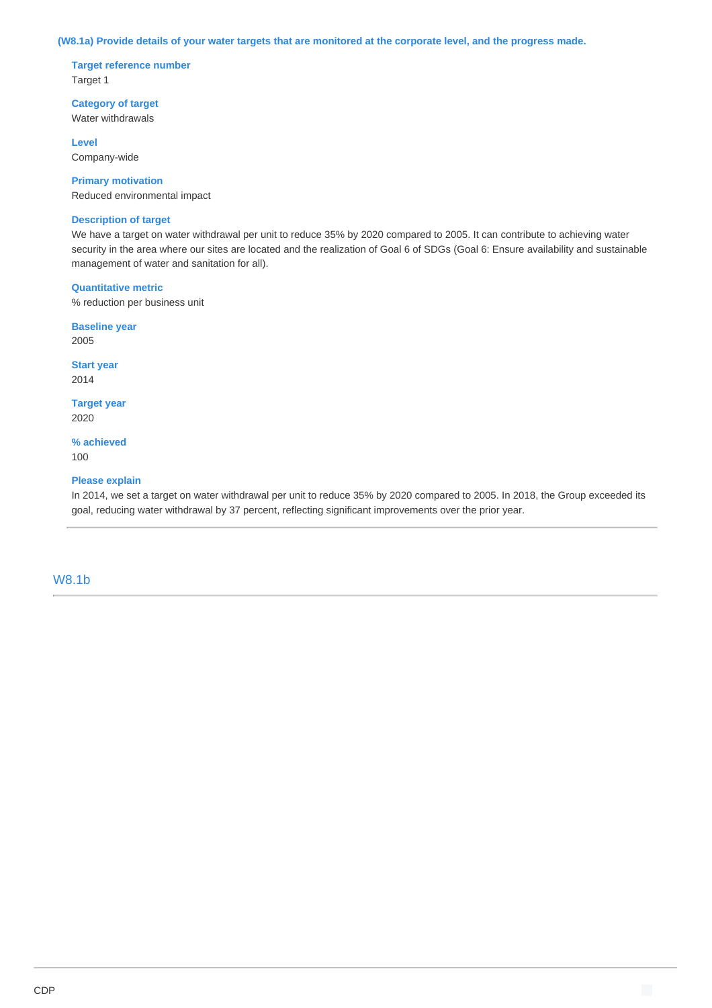#### **(W8.1a) Provide details of your water targets that are monitored at the corporate level, and the progress made.**

**Target reference number** Target 1

**Category of target** Water withdrawals

**Level** Company-wide

**Primary motivation** Reduced environmental impact

#### **Description of target**

We have a target on water withdrawal per unit to reduce 35% by 2020 compared to 2005. It can contribute to achieving water security in the area where our sites are located and the realization of Goal 6 of SDGs (Goal 6: Ensure availability and sustainable management of water and sanitation for all).

#### **Quantitative metric**

% reduction per business unit

**Baseline year** 2005

**Start year** 2014

**Target year** 2020

**% achieved** 100

#### **Please explain**

In 2014, we set a target on water withdrawal per unit to reduce 35% by 2020 compared to 2005. In 2018, the Group exceeded its goal, reducing water withdrawal by 37 percent, reflecting significant improvements over the prior year.

#### W8.1b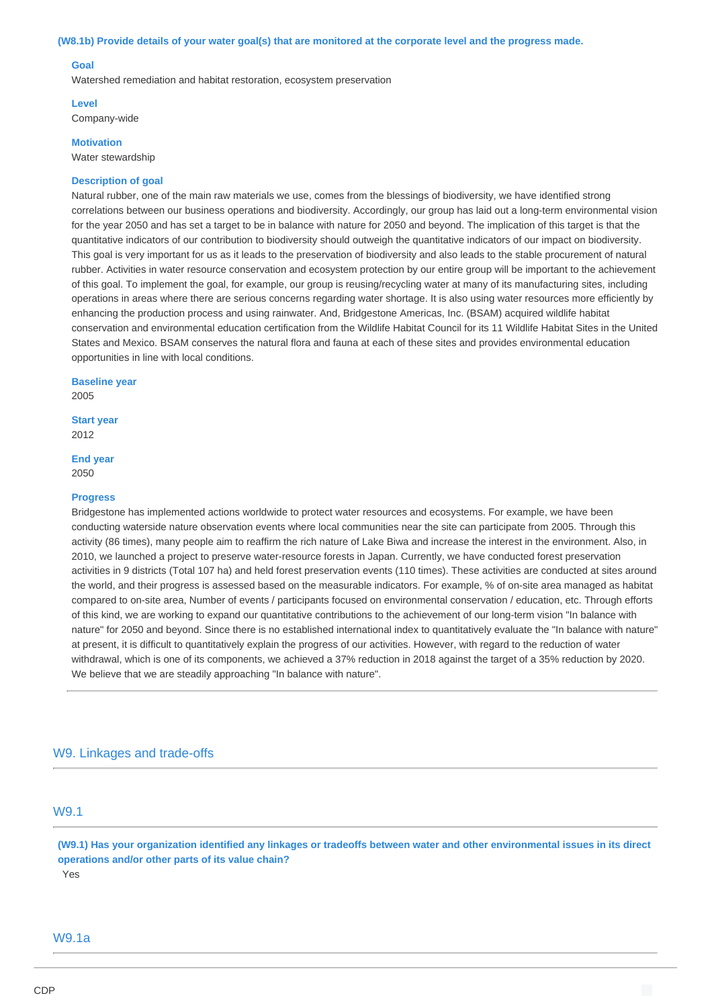#### **(W8.1b) Provide details of your water goal(s) that are monitored at the corporate level and the progress made.**

#### **Goal**

Watershed remediation and habitat restoration, ecosystem preservation

**Level** Company-wide

**Motivation**

Water stewardship

#### **Description of goal**

Natural rubber, one of the main raw materials we use, comes from the blessings of biodiversity, we have identified strong correlations between our business operations and biodiversity. Accordingly, our group has laid out a long-term environmental vision for the year 2050 and has set a target to be in balance with nature for 2050 and beyond. The implication of this target is that the quantitative indicators of our contribution to biodiversity should outweigh the quantitative indicators of our impact on biodiversity. This goal is very important for us as it leads to the preservation of biodiversity and also leads to the stable procurement of natural rubber. Activities in water resource conservation and ecosystem protection by our entire group will be important to the achievement of this goal. To implement the goal, for example, our group is reusing/recycling water at many of its manufacturing sites, including operations in areas where there are serious concerns regarding water shortage. It is also using water resources more efficiently by enhancing the production process and using rainwater. And, Bridgestone Americas, Inc. (BSAM) acquired wildlife habitat conservation and environmental education certification from the Wildlife Habitat Council for its 11 Wildlife Habitat Sites in the United States and Mexico. BSAM conserves the natural flora and fauna at each of these sites and provides environmental education opportunities in line with local conditions.

**Baseline year** 2005

**Start year** 2012

**End year** 2050

#### **Progress**

Bridgestone has implemented actions worldwide to protect water resources and ecosystems. For example, we have been conducting waterside nature observation events where local communities near the site can participate from 2005. Through this activity (86 times), many people aim to reaffirm the rich nature of Lake Biwa and increase the interest in the environment. Also, in 2010, we launched a project to preserve water-resource forests in Japan. Currently, we have conducted forest preservation activities in 9 districts (Total 107 ha) and held forest preservation events (110 times). These activities are conducted at sites around the world, and their progress is assessed based on the measurable indicators. For example, % of on-site area managed as habitat compared to on-site area, Number of events / participants focused on environmental conservation / education, etc. Through efforts of this kind, we are working to expand our quantitative contributions to the achievement of our long-term vision "In balance with nature" for 2050 and beyond. Since there is no established international index to quantitatively evaluate the "In balance with nature" at present, it is difficult to quantitatively explain the progress of our activities. However, with regard to the reduction of water withdrawal, which is one of its components, we achieved a 37% reduction in 2018 against the target of a 35% reduction by 2020. We believe that we are steadily approaching "In balance with nature".

### W9. Linkages and trade-offs

# W9.1

**(W9.1) Has your organization identified any linkages or tradeoffs between water and other environmental issues in its direct operations and/or other parts of its value chain?** Yes

#### W9.1a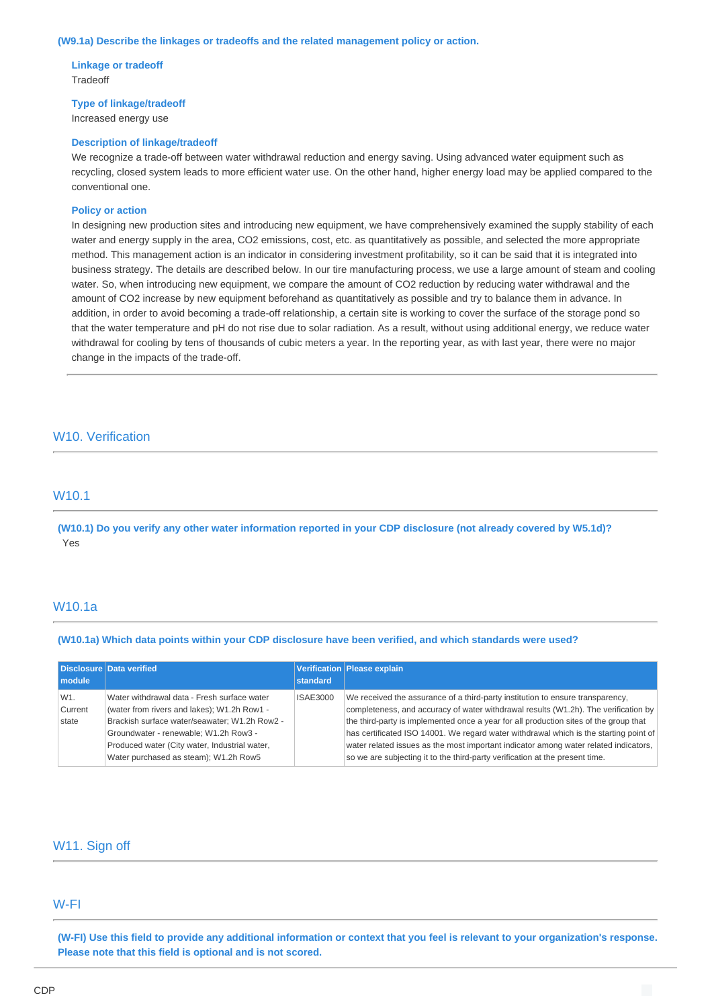### **(W9.1a) Describe the linkages or tradeoffs and the related management policy or action.**

#### **Linkage or tradeoff** Tradeoff

# **Type of linkage/tradeoff**

Increased energy use

#### **Description of linkage/tradeoff**

We recognize a trade-off between water withdrawal reduction and energy saving. Using advanced water equipment such as recycling, closed system leads to more efficient water use. On the other hand, higher energy load may be applied compared to the conventional one.

#### **Policy or action**

In designing new production sites and introducing new equipment, we have comprehensively examined the supply stability of each water and energy supply in the area, CO2 emissions, cost, etc. as quantitatively as possible, and selected the more appropriate method. This management action is an indicator in considering investment profitability, so it can be said that it is integrated into business strategy. The details are described below. In our tire manufacturing process, we use a large amount of steam and cooling water. So, when introducing new equipment, we compare the amount of CO2 reduction by reducing water withdrawal and the amount of CO2 increase by new equipment beforehand as quantitatively as possible and try to balance them in advance. In addition, in order to avoid becoming a trade-off relationship, a certain site is working to cover the surface of the storage pond so that the water temperature and pH do not rise due to solar radiation. As a result, without using additional energy, we reduce water withdrawal for cooling by tens of thousands of cubic meters a year. In the reporting year, as with last year, there were no major change in the impacts of the trade-off.

### W10. Verification

### W10.1

**(W10.1) Do you verify any other water information reported in your CDP disclosure (not already covered by W5.1d)?** Yes

### W10.1a

#### **(W10.1a) Which data points within your CDP disclosure have been verified, and which standards were used?**

| module                  | Disclosure Data verified                                                                                                                                                                                                                                                       | standard        | Verification Please explain                                                                                                                                                                                                                                                                                                                                                                                                                                                                                                     |
|-------------------------|--------------------------------------------------------------------------------------------------------------------------------------------------------------------------------------------------------------------------------------------------------------------------------|-----------------|---------------------------------------------------------------------------------------------------------------------------------------------------------------------------------------------------------------------------------------------------------------------------------------------------------------------------------------------------------------------------------------------------------------------------------------------------------------------------------------------------------------------------------|
| W1.<br>Current<br>state | Water withdrawal data - Fresh surface water<br>(water from rivers and lakes); W1.2h Row1 -<br>Brackish surface water/seawater; W1.2h Row2 -<br>Groundwater - renewable: W1.2h Row3 -<br>Produced water (City water, Industrial water,<br>Water purchased as steam); W1.2h Row5 | <b>ISAE3000</b> | We received the assurance of a third-party institution to ensure transparency,<br>completeness, and accuracy of water withdrawal results (W1.2h). The verification by<br>the third-party is implemented once a year for all production sites of the group that<br>has certificated ISO 14001. We regard water withdrawal which is the starting point of<br>water related issues as the most important indicator among water related indicators,<br>so we are subjecting it to the third-party verification at the present time. |

# W11. Sign off

### W-FI

**(W-FI) Use this field to provide any additional information or context that you feel is relevant to your organization's response. Please note that this field is optional and is not scored.**